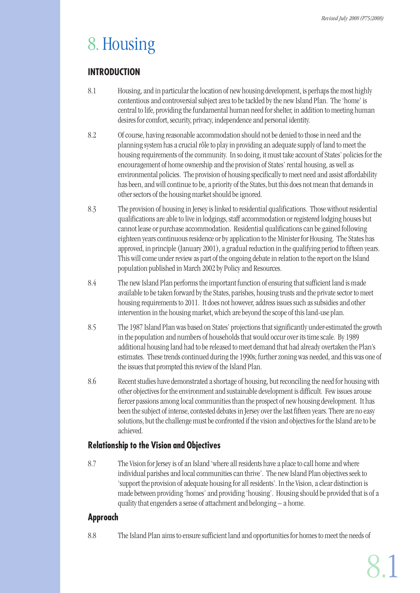# 8. Housing

# **INTRODUCTION**

- 8.1 Housing, and in particular the location of new housing development, is perhaps the most highly contentious and controversial subject area to be tackled by the new Island Plan. The 'home' is central to life, providing the fundamental human need for shelter, in addition to meeting human desires for comfort, security, privacy, independence and personal identity.
- 8.2 Of course, having reasonable accommodation should not be denied to those in need and the planning system has a crucial rôle to play in providing an adequate supply of land to meet the housing requirements of the community. In so doing, it must take account of States' policies for the encouragement of home ownership and the provision of States' rental housing, as well as environmental policies. The provision of housing specifically to meet need and assist affordability has been, and will continue to be, a priority of the States, but this does not mean that demands in other sectors of the housing market should be ignored.
- 8.3 The provision of housing in Jersey is linked to residential qualifications. Those without residential qualifications are able to live in lodgings, staff accommodation or registered lodging houses but cannot lease or purchase accommodation. Residential qualifications can be gained following eighteen years continuous residence or by application to the Minister for Housing. The States has approved, in principle (January 2001), a gradual reduction in the qualifying period to fifteen years. This will come under review as part of the ongoing debate in relation to the report on the Island population published in March 2002 by Policy and Resources.
- 8.4 The new Island Plan performs the important function of ensuring that sufficient land is made available to be taken forward by the States, parishes, housing trusts and the private sector to meet housing requirements to 2011. It does not however, address issues such as subsidies and other intervention in the housing market, which are beyond the scope of this land-use plan.
- 8.5 The 1987 Island Plan was based on States' projections that significantly under-estimated the growth in the population and numbers of households that would occur over its time scale. By 1989 additional housing land had to be released to meet demand that had already overtaken the Plan's estimates. These trends continued during the 1990s; further zoning was needed, and this was one of the issues that prompted this review of the Island Plan.
- 8.6 Recent studies have demonstrated a shortage of housing, but reconciling the need for housing with other objectives for the environment and sustainable development is difficult. Few issues arouse fiercer passions among local communities than the prospect of new housing development. It has been the subject of intense, contested debates in Jersey over the last fifteen years. There are no easy solutions, but the challenge must be confronted if the vision and objectives for the Island are to be achieved.

# **Relationship to the Vision and Objectives**

8.7 The Vision for Jersey is of an Island 'where all residents have a place to call home and where individual parishes and local communities can thrive'. The new Island Plan objectives seek to 'support the provision of adequate housing for all residents'. In the Vision, a clear distinction is made between providing 'homes' and providing 'housing'. Housing should be provided that is of a quality that engenders a sense of attachment and belonging – a home.

# **Approach**

8.8 The Island Plan aims to ensure sufficient land and opportunities for homes to meet the needs of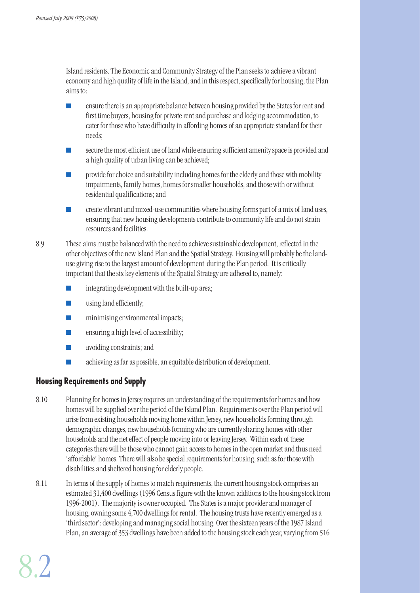Island residents. The Economic and Community Strategy of the Plan seeks to achieve a vibrant economy and high quality of life in the Island, and in this respect, specifically for housing, the Plan aims to:

- ensure there is an appropriate balance between housing provided by the States for rent and first time buyers, housing for private rent and purchase and lodging accommodation, to cater for those who have difficulty in affording homes of an appropriate standard for their needs;
- secure the most efficient use of land while ensuring sufficient amenity space is provided and a high quality of urban living can be achieved;
- provide for choice and suitability including homes for the elderly and those with mobility impairments, family homes, homes for smaller households, and those with or without residential qualifications; and
- create vibrant and mixed-use communities where housing forms part of a mix of land uses, ensuring that new housing developments contribute to community life and do not strain resources and facilities.
- 8.9 These aims must be balanced with the need to achieve sustainable development, reflected in the other objectives of the new Island Plan and the Spatial Strategy. Housing will probably be the landuse giving rise to the largest amount of development during the Plan period. It is critically important that the six key elements of the Spatial Strategy are adhered to, namely:
	- integrating development with the built-up area;
	- **■** using land efficiently;
	- **■** minimising environmental impacts;
	- $\blacksquare$  ensuring a high level of accessibility;
	- avoiding constraints; and
	- achieving as far as possible, an equitable distribution of development.

# **Housing Requirements and Supply**

- 8.10 Planning for homes in Jersey requires an understanding of the requirements for homes and how homes will be supplied over the period of the Island Plan. Requirements over the Plan period will arise from existing households moving home within Jersey, new households forming through demographic changes, new households forming who are currently sharing homes with other households and the net effect of people moving into or leaving Jersey. Within each of these categories there will be those who cannot gain access to homes in the open market and thus need 'affordable' homes. There will also be special requirements for housing, such as for those with disabilities and sheltered housing for elderly people.
- 8.11 In terms of the supply of homes to match requirements, the current housing stock comprises an estimated 31,400 dwellings (1996 Census figure with the known additions to the housing stock from 1996-2001). The majority is owner occupied. The States is a major provider and manager of housing, owning some 4,700 dwellings for rental. The housing trusts have recently emerged as a 'third sector': developing and managing social housing. Over the sixteen years of the 1987 Island Plan, an average of 353 dwellings have been added to the housing stock each year, varying from 516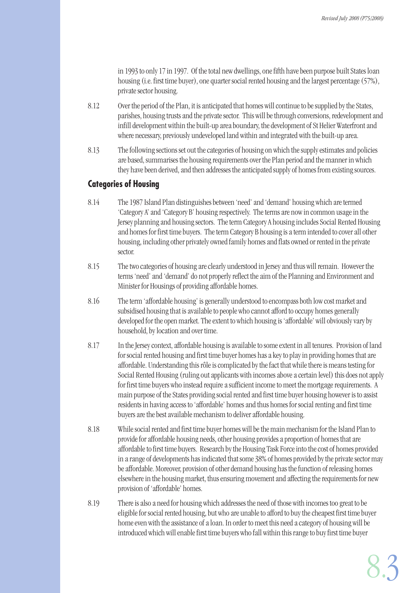in 1993 to only 17 in 1997. Of the total new dwellings, one fifth have been purpose built States loan housing (i.e. first time buyer), one quarter social rented housing and the largest percentage (57%), private sector housing.

- 8.12 Over the period of the Plan, it is anticipated that homes will continue to be supplied by the States, parishes, housing trusts and the private sector. This will be through conversions, redevelopment and infill development within the built-up area boundary, the development of St Helier Waterfront and where necessary, previously undeveloped land within and integrated with the built-up area.
- 8.13 The following sections set out the categories of housing on which the supply estimates and policies are based, summarises the housing requirements over the Plan period and the manner in which they have been derived, and then addresses the anticipated supply of homes from existing sources.

# **Categories of Housing**

- 8.14 The 1987 Island Plan distinguishes between 'need' and 'demand' housing which are termed 'Category A' and 'Category B' housing respectively. The terms are now in common usage in the Jersey planning and housing sectors. The term Category A housing includes Social Rented Housing and homes for first time buyers. The term Category B housing is a term intended to cover all other housing, including other privately owned family homes and flats owned or rented in the private sector.
- 8.15 The two categories of housing are clearly understood in Jersey and thus will remain. However the terms 'need' and 'demand' do not properly reflect the aim of the Planning and Environment and Minister for Housings of providing affordable homes.
- 8.16 The term 'affordable housing' is generally understood to encompass both low cost market and subsidised housing that is available to people who cannot afford to occupy homes generally developed for the open market. The extent to which housing is 'affordable' will obviously vary by household, by location and over time.
- 8.17 In the Jersey context, affordable housing is available to some extent in all tenures. Provision of land for social rented housing and first time buyer homes has a key to play in providing homes that are affordable. Understanding this rôle is complicated by the fact that while there is means testing for Social Rented Housing (ruling out applicants with incomes above a certain level) this does not apply for first time buyers who instead require a sufficient income to meet the mortgage requirements. A main purpose of the States providing social rented and first time buyer housing however is to assist residents in having access to 'affordable' homes and thus homes for social renting and first time buyers are the best available mechanism to deliver affordable housing.
- 8.18 While social rented and first time buyer homes will be the main mechanism for the Island Plan to provide for affordable housing needs, other housing provides a proportion of homes that are affordable to first time buyers. Research by the Housing Task Force into the cost of homes provided in a range of developments has indicated that some 38% of homes provided by the private sector may be affordable. Moreover, provision of other demand housing has the function of releasing homes elsewhere in the housing market, thus ensuring movement and affecting the requirements for new provision of 'affordable' homes.
- 8.19 There is also a need for housing which addresses the need of those with incomes too great to be eligible for social rented housing, but who are unable to afford to buy the cheapest first time buyer home even with the assistance of a loan. In order to meet this need a category of housing will be introduced which will enable first time buyers who fall within this range to buy first time buyer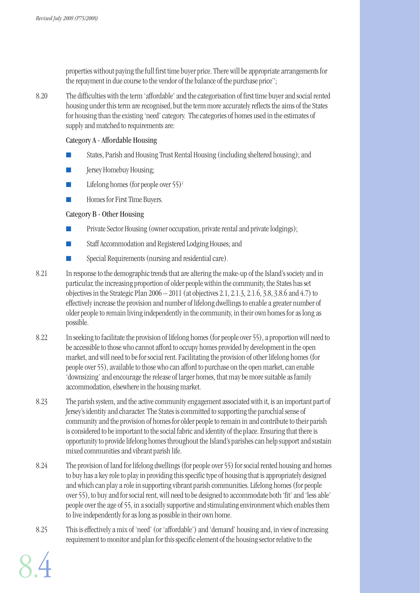properties without paying the full first time buyer price. There will be appropriate arrangements for the repayment in due course to the vendor of the balance of the purchase price";

8.20 The difficulties with the term 'affordable' and the categorisation of first time buyer and social rented housing under this term are recognised, but the term more accurately reflects the aims of the States for housing than the existing 'need' category. The categories of homes used in the estimates of supply and matched to requirements are:

#### Category A - Affordable Housing

- States, Parish and Housing Trust Rental Housing (including sheltered housing); and
- Jersey Homebuy Housing;
- Lifelong homes (for people over  $55)^2$
- Homes for First Time Buyers.

#### Category B - Other Housing

- Private Sector Housing (owner occupation, private rental and private lodgings);
- Staff Accommodation and Registered Lodging Houses; and
- Special Requirements (nursing and residential care).
- 8.21 In response to the demographic trends that are altering the make-up of the Island's society and in particular, the increasing proportion of older people within the community, the States has set objectives in the Strategic Plan 2006 – 2011 (at objectives 2.1, 2.1.3, 2.1.6, 3.8, 3.8.6 and 4.7) to effectively increase the provision and number of lifelong dwellings to enable a greater number of older people to remain living independently in the community, in their own homes for as long as possible.
- 8.22 In seeking to facilitate the provision of lifelong homes (for people over 55), a proportion will need to be accessible to those who cannot afford to occupy homes provided by development in the open market, and will need to be for social rent. Facilitating the provision of other lifelong homes (for people over 55), available to those who can afford to purchase on the open market, can enable 'downsizing' and encourage the release of larger homes, that may be more suitable as family accommodation, elsewhere in the housing market.
- 8.23 The parish system, and the active community engagement associated with it, is an important part of Jersey's identity and character. The States is committed to supporting the parochial sense of community and the provision of homes for older people to remain in and contribute to their parish is considered to be important to the social fabric and identity of the place. Ensuring that there is opportunity to provide lifelong homes throughout the Island's parishes can help support and sustain mixed communities and vibrant parish life.
- 8.24 The provision of land for lifelong dwellings (for people over 55) for social rented housing and homes to buy has a key role to play in providing this specific type of housing that is appropriately designed and which can play a role in supporting vibrant parish communities. Lifelong homes (for people over 55), to buy and for social rent, will need to be designed to accommodate both 'fit' and 'less able' people over the age of 55, in a socially supportive and stimulating environment which enables them to live independently for as long as possible in their own home.
- 8.25 This is effectively a mix of 'need' (or 'affordable') and 'demand' housing and, in view of increasing requirement to monitor and plan for this specific element of the housing sector relative to the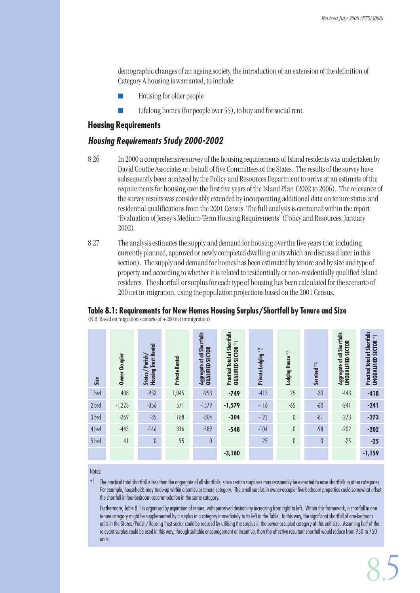demographic changes of an ageing society, the introduction of an extension of the definition of Category A housing is warranted, to include:

- Housing for older people
- Lifelong homes (for people over 55), to buy and for social rent.

#### **Housing Requirements**

#### **Housing Requirements Study 2000-2002**

- 8.26 In 2000 a comprehensive survey of the housing requirements of Island residents was undertaken by David Couttie Associates on behalf of five Committees of the States. The results of the survey have subsequently been analysed by the Policy and Resources Department to arrive at an estimate of the requirements for housing over the first five years of the Island Plan (2002 to 2006). The relevance of the survey results was considerably extended by incorporating additional data on tenure status and residential qualifications from the 2001 Census. The full analysis is contained within the report 'Evaluation of Jersey's Medium-Term Housing Requirements' (Policy and Resources, January 2002).
- 8.27 The analysis estimates the supply and demand for housing over the five years (not including currently planned, approved or newly completed dwelling units which are discussed later in this section). The supply and demand for homes has been estimated by tenure and by size and type of property and according to whether it is related to residentially or non-residentially qualified Island residents. The shortfall or surplus for each type of housing has been calculated for the scenario of 200 net in-migration, using the population projections based on the 2001 Census.

#### **Table 8.1: Requirements for New Homes Housing Surplus/Shortfall by Tenure and Size**

(N.B. Based on migration scenario of +200 net immigration)

| Size  | Owner Occupier | Housing Trust Rental<br>Parish/<br>States/ | Private Rental | Aggregate of all Shortfalls<br>QUALIFIED SECTOR | <b>Practical Total of Shortfalls</b><br>$\overleftarrow{\star}$<br>QUALIFIED SECTOR | Private Lodging *2 | Lodging House $^{\star}3$ | Serviced *4 | Aggregate of all Shortfalls<br>UNQUALIFIED SECTOR | <b>Practical Total of Shortfalls</b><br><b>UNQUALIFIED SECTOR *1</b> |
|-------|----------------|--------------------------------------------|----------------|-------------------------------------------------|-------------------------------------------------------------------------------------|--------------------|---------------------------|-------------|---------------------------------------------------|----------------------------------------------------------------------|
| 1 bed | 408            | $-953$                                     | 1,045          | $-953$                                          | $-749$                                                                              | $-413$             | 25                        | $-30$       | $-443$                                            | $-418$                                                               |
| 2 bed | $-1,223$       | $-356$                                     | 571            | $-1579$                                         | $-1,579$                                                                            | $-116$             | $-65$                     | $-60$       | $-241$                                            | $-241$                                                               |
| 3 bed | $-269$         | $-35$                                      | 188            | $-304$                                          | $-304$                                                                              | $-192$             | $\pmb{0}$                 | $-81$       | $-273$                                            | $-273$                                                               |
| 4 bed | $-443$         | $-146$                                     | 316            | $-589$                                          | $-548$                                                                              | $-104$             | $\theta$                  | $-98$       | $-202$                                            | $-202$                                                               |
| 5 bed | 41             | 0                                          | 95             | $\theta$                                        |                                                                                     | $-25$              | $\theta$                  | $\theta$    | $-25$                                             | $-25$                                                                |
|       |                |                                            |                |                                                 | $-3,180$                                                                            |                    |                           |             |                                                   | $-1,159$                                                             |

Notes:

 $*1$  The practical total shortfall is less than the aggregate of all shortfalls, since certain surpluses may reasonably be expected to ease shortfalls in other categories. For example, households may trade-up within a particular tenure category. The small surplus in owner-occupier five-bedroom properties could somewhat offset the shortfall in four-bedroom accommodation in the same category.

Furthermore, Table 8.1 is organised by aspiration of tenure, with perceived desirability increasing from right to left. Within this framework, a shortfall in one tenure category might be supplemented by a surplus in a category immediately to its left in the Table. In this way, the significant shortfall of one-bedroom units in the States/Parish/Housing Trust sector could be reduced by utilising the surplus in the owner-occupied category of this unit size. Assuming half of the relevant surplus could be used in this way, through suitable encouragement or incentive, then the effective resultant shortfall would reduce from 950 to 750 units.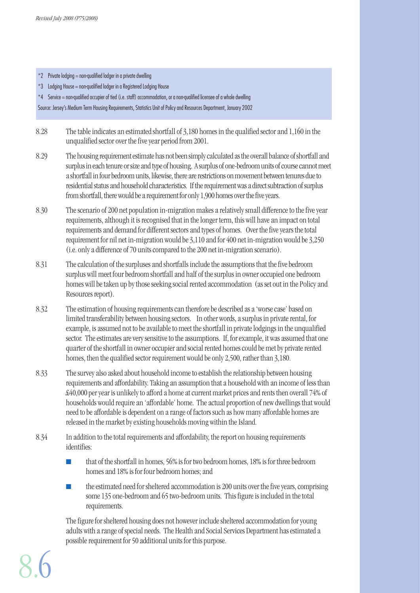- $*2$  Private lodging = non-qualified lodger in a private dwelling
- \*3 Lodging House = non-qualified lodger in a Registered Lodging House
- \*4 Service = non-qualified occupier of tied (i.e. staff) accommodation, or a non-qualified licensee of a whole dwelling

Source: Jersey's Medium Term Housing Requirements, Statistics Unit of Policy and Resources Department, January 2002

- 8.28 The table indicates an estimated shortfall of 3,180 homes in the qualified sector and 1,160 in the unqualified sector over the five year period from 2001.
- 8.29 The housing requirement estimate has not been simply calculated as the overall balance of shortfall and surplus in each tenure or size and type of housing. A surplus of one-bedroom units of course cannot meet a shortfall in four bedroom units, likewise, there are restrictions on movement between tenures due to residential status and household characteristics. If the requirement was a direct subtraction of surplus from shortfall, there would be a requirement for only 1,900 homes over the five years.
- 8.30 The scenario of 200 net population in-migration makes a relatively small difference to the five year requirements, although it is recognised that in the longer term, this will have an impact on total requirements and demand for different sectors and types of homes. Over the five years the total requirement for nil net in-migration would be 3,110 and for 400 net in-migration would be 3,250 (i.e. only a difference of 70 units compared to the 200 net in-migration scenario).
- 8.31 The calculation of the surpluses and shortfalls include the assumptions that the five bedroom surplus will meet four bedroom shortfall and half of the surplus in owner occupied one bedroom homes will be taken up by those seeking social rented accommodation (as set out in the Policy and Resources report).
- 8.32 The estimation of housing requirements can therefore be described as a 'worse case' based on limited transferability between housing sectors. In other words, a surplus in private rental, for example, is assumed not to be available to meet the shortfall in private lodgings in the unqualified sector. The estimates are very sensitive to the assumptions. If, for example, it was assumed that one quarter of the shortfall in owner occupier and social rented homes could be met by private rented homes, then the qualified sector requirement would be only 2,500, rather than 3,180.
- 8.33 The survey also asked about household income to establish the relationship between housing requirements and affordability. Taking an assumption that a household with an income of less than £40,000 per year is unlikely to afford a home at current market prices and rents then overall 74% of households would require an 'affordable' home. The actual proportion of new dwellings that would need to be affordable is dependent on a range of factors such as how many affordable homes are released in the market by existing households moving within the Island.
- 8.34 In addition to the total requirements and affordability, the report on housing requirements identifies:
	- that of the shortfall in homes, 56% is for two bedroom homes, 18% is for three bedroom homes and 18% is for four bedroom homes; and
	- the estimated need for sheltered accommodation is 200 units over the five years, comprising some 135 one-bedroom and 65 two-bedroom units. This figure is included in the total requirements.

The figure for sheltered housing does not however include sheltered accommodation for young adults with a range of special needs. The Health and Social Services Department has estimated a possible requirement for 50 additional units for this purpose.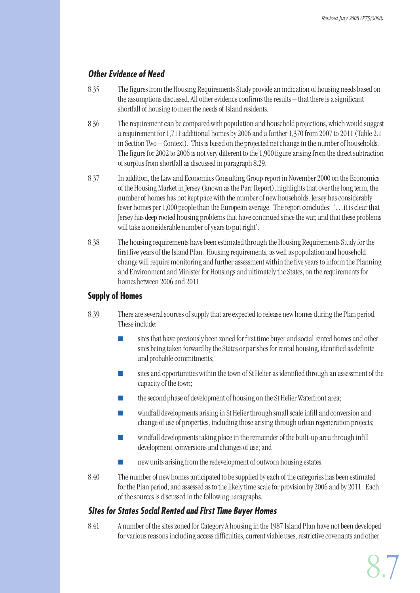# **Other Evidence of Need**

- 8.35 The figures from the Housing Requirements Study provide an indication of housing needs based on the assumptions discussed. All other evidence confirms the results – that there is a significant shortfall of housing to meet the needs of Island residents.
- 8.36 The requirement can be compared with population and household projections, which would suggest a requirement for 1,711 additional homes by 2006 and a further 1,370 from 2007 to 2011 (Table 2.1 in Section Two – Context). This is based on the projected net change in the number of households. The figure for 2002 to 2006 is not very different to the 1,900 figure arising from the direct subtraction of surplus from shortfall as discussed in paragraph 8.29.
- 8.37 In addition, the Law and Economics Consulting Group report in November 2000 on the Economics of the Housing Market in Jersey (known as the Parr Report), highlights that over the long term, the number of homes has not kept pace with the number of new households. Jersey has considerably fewer homes per 1,000 people than the European average. The report concludes: '... it is clear that Jersey has deep rooted housing problems that have continued since the war, and that these problems will take a considerable number of years to put right'.
- 8.38 The housing requirements have been estimated through the Housing Requirements Study for the first five years of the Island Plan. Housing requirements, as well as population and household change will require monitoring and further assessment within the five years to inform the Planning and Environment and Minister for Housings and ultimately the States, on the requirements for homes between 2006 and 2011.

# **Supply of Homes**

- 8.39 There are several sources of supply that are expected to release new homes during the Plan period. These include:
	- sites that have previously been zoned for first time buyer and social rented homes and other sites being taken forward by the States or parishes for rental housing, identified as definite and probable commitments;
	- sites and opportunities within the town of St Helier as identified through an assessment of the capacity of the town;
	- the second phase of development of housing on the St Helier Waterfront area;
	- windfall developments arising in St Helier through small scale infill and conversion and change of use of properties, including those arising through urban regeneration projects;
	- windfall developments taking place in the remainder of the built-up area through infill development, conversions and changes of use; and
	- new units arising from the redevelopment of outworn housing estates.
- 8.40 The number of new homes anticipated to be supplied by each of the categories has been estimated for the Plan period, and assessed as to the likely time scale for provision by 2006 and by 2011. Each of the sources is discussed in the following paragraphs.

# **Sites for States Social Rented and First Time Buyer Homes**

8.41 A number of the sites zoned for Category A housing in the 1987 Island Plan have not been developed for various reasons including access difficulties, current viable uses, restrictive covenants and other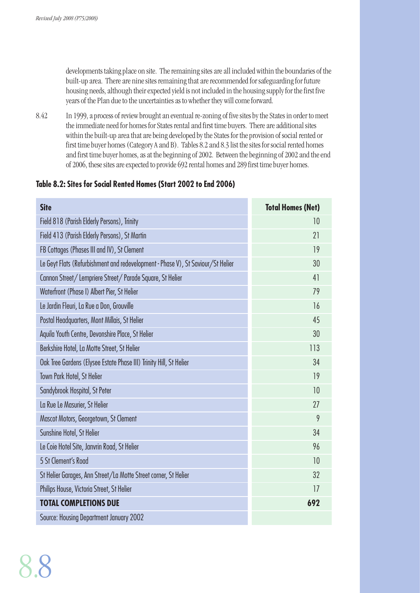developments taking place on site. The remaining sites are all included within the boundaries of the built-up area. There are nine sites remaining that are recommended for safeguarding for future housing needs, although their expected yield is not included in the housing supply for the first five years of the Plan due to the uncertainties as to whether they will come forward.

8.42 In 1999, a process of review brought an eventual re-zoning of five sites by the States in order to meet the immediate need for homes for States rental and first time buyers. There are additional sites within the built-up area that are being developed by the States for the provision of social rented or first time buyer homes (Category A and B). Tables 8.2 and 8.3 list the sites for social rented homes and first time buyer homes, as at the beginning of 2002. Between the beginning of 2002 and the end of 2006, these sites are expected to provide 692 rental homes and 289 first time buyer homes.

# **Table 8.2: Sites for Social Rented Homes (Start 2002 to End 2006)**

| <b>Site</b>                                                                     | <b>Total Homes (Net)</b> |
|---------------------------------------------------------------------------------|--------------------------|
| Field 818 (Parish Elderly Persons), Trinity                                     | 10                       |
| Field 413 (Parish Elderly Persons), St Martin                                   | 21                       |
| FB Cottages (Phases III and IV), St Clement                                     | 19                       |
| Le Geyt Flats (Refurbishment and redevelopment - Phase V), St Saviour/St Helier | 30                       |
| Cannon Street/Lempriere Street/Parade Square, St Helier                         | 41                       |
| Waterfront (Phase I) Albert Pier, St Helier                                     | 79                       |
| Le Jardin Fleuri, La Rue a Don, Grouville                                       | 16                       |
| Postal Headquarters, Mont Millais, St Helier                                    | 45                       |
| Aquila Youth Centre, Devonshire Place, St Helier                                | 30                       |
| Berkshire Hotel, La Motte Street, St Helier                                     | 113                      |
| Oak Tree Gardens (Elysee Estate Phase III) Trinity Hill, St Helier              | 34                       |
| Town Park Hotel, St Helier                                                      | 19                       |
| Sandybrook Hospital, St Peter                                                   | 10                       |
| La Rue Le Masurier, St Helier                                                   | 27                       |
| Mascot Motors, Georgetown, St Clement                                           | 9                        |
| Sunshine Hotel, St Helier                                                       | 34                       |
| Le Coie Hotel Site, Janvrin Road, St Helier                                     | 96                       |
| 5 St Clement's Road                                                             | 10                       |
| St Helier Garages, Ann Street/La Motte Street corner, St Helier                 | 32                       |
| Philips House, Victoria Street, St Helier                                       | 17                       |
| <b>TOTAL COMPLETIONS DUE</b>                                                    | 692                      |
| Source: Housing Department January 2002                                         |                          |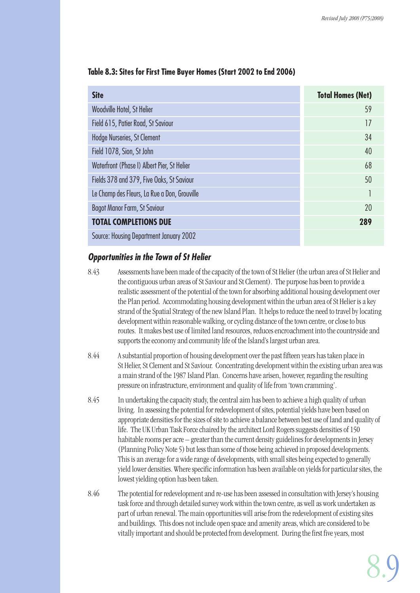| <b>Site</b>                                  | <b>Total Homes (Net)</b> |
|----------------------------------------------|--------------------------|
| Woodville Hotel, St Helier                   | 59                       |
| Field 615, Patier Road, St Saviour           | 17                       |
| Hodge Nurseries, St Clement                  | 34                       |
| Field 1078, Sion, St John                    | 40                       |
| Waterfront (Phase I) Albert Pier, St Helier  | 68                       |
| Fields 378 and 379, Five Oaks, St Saviour    | 50                       |
| Le Champ des Fleurs, La Rue a Don, Grouville |                          |
| <b>Bagot Manor Farm, St Saviour</b>          | 20                       |
| <b>TOTAL COMPLETIONS DUE</b>                 | 289                      |
| Source: Housing Department January 2002      |                          |

#### **Table 8.3: Sites for First Time Buyer Homes (Start 2002 to End 2006)**

# **Opportunities in the Town of St Helier**

8.43 Assessments have been made of the capacity of the town of St Helier (the urban area of St Helier and the contiguous urban areas of St Saviour and St Clement). The purpose has been to provide a realistic assessment of the potential of the town for absorbing additional housing development over the Plan period. Accommodating housing development within the urban area of St Helier is a key strand of the Spatial Strategy of the new Island Plan. It helps to reduce the need to travel by locating development within reasonable walking, or cycling distance of the town centre, or close to bus routes. It makes best use of limited land resources, reduces encroachment into the countryside and supports the economy and community life of the Island's largest urban area.

- 8.44 A substantial proportion of housing development over the past fifteen years has taken place in St Helier, St Clement and St Saviour. Concentrating development within the existing urban area was a main strand of the 1987 Island Plan. Concerns have arisen, however, regarding the resulting pressure on infrastructure, environment and quality of life from 'town cramming'.
- 8.45 In undertaking the capacity study, the central aim has been to achieve a high quality of urban living. In assessing the potential for redevelopment of sites, potential yields have been based on appropriate densities for the sizes of site to achieve a balance between best use of land and quality of life. The UK Urban Task Force chaired by the architect Lord Rogers suggests densities of 150 habitable rooms per acre – greater than the current density guidelines for developments in Jersey (Planning Policy Note 5) but less than some of those being achieved in proposed developments. This is an average for a wide range of developments, with small sites being expected to generally yield lower densities. Where specific information has been available on yields for particular sites, the lowest yielding option has been taken.
- 8.46 The potential for redevelopment and re-use has been assessed in consultation with Jersey's housing task force and through detailed survey work within the town centre, as well as work undertaken as part of urban renewal. The main opportunities will arise from the redevelopment of existing sites and buildings. This does not include open space and amenity areas, which are considered to be vitally important and should be protected from development. During the first five years, most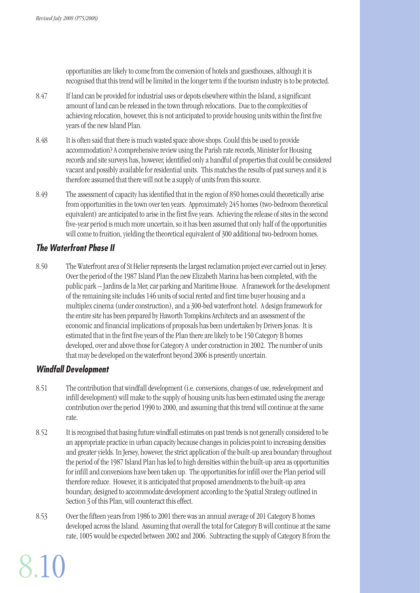opportunities are likely to come from the conversion of hotels and guesthouses, although it is recognised that this trend will be limited in the longer term if the tourism industry is to be protected.

- 8.47 If land can be provided for industrial uses or depots elsewhere within the Island, a significant amount of land can be released in the town through relocations. Due to the complexities of achieving relocation, however, this is not anticipated to provide housing units within the first five years of the new Island Plan.
- 8.48 It is often said that there is much wasted space above shops. Could this be used to provide accommodation? A comprehensive review using the Parish rate records, Minister for Housing records and site surveys has, however, identified only a handful of properties that could be considered vacant and possibly available for residential units. This matches the results of past surveys and it is therefore assumed that there will not be a supply of units from this source.
- 8.49 The assessment of capacity has identified that in the region of 850 homes could theoretically arise from opportunities in the town over ten years. Approximately 245 homes (two-bedroom theoretical equivalent) are anticipated to arise in the first five years. Achieving the release of sites in the second five-year period is much more uncertain, so it has been assumed that only half of the opportunities will come to fruition, yielding the theoretical equivalent of 300 additional two-bedroom homes.

# **The Waterfront Phase II**

8.50 The Waterfront area of St Helier represents the largest reclamation project ever carried out in Jersey. Over the period of the 1987 Island Plan the new Elizabeth Marina has been completed, with the public park – Jardins de la Mer, car parking and Maritime House. A framework for the development of the remaining site includes 146 units of social rented and first time buyer housing and a multiplex cinema (under construction), and a 300-bed waterfront hotel. A design framework for the entire site has been prepared by Haworth Tompkins Architects and an assessment of the economic and financial implications of proposals has been undertaken by Drivers Jonas. It is estimated that in the first five years of the Plan there are likely to be 150 Category B homes developed, over and above those for Category A under construction in 2002. The number of units that may be developed on the waterfront beyond 2006 is presently uncertain.

# **Windfall Development**

- 8.51 The contribution that windfall development (i.e. conversions, changes of use, redevelopment and infill development) will make to the supply of housing units has been estimated using the average contribution over the period 1990 to 2000, and assuming that this trend will continue at the same rate.
- 8.52 It is recognised that basing future windfall estimates on past trends is not generally considered to be an appropriate practice in urban capacity because changes in policies point to increasing densities and greater yields. In Jersey, however, the strict application of the built-up area boundary throughout the period of the 1987 Island Plan has led to high densities within the built-up area as opportunities for infill and conversions have been taken up. The opportunities for infill over the Plan period will therefore reduce. However, it is anticipated that proposed amendments to the built-up area boundary, designed to accommodate development according to the Spatial Strategy outlined in Section 3 of this Plan, will counteract this effect.
- 8.53 Over the fifteen years from 1986 to 2001 there was an annual average of 201 Category B homes developed across the Island. Assuming that overall the total for Category B will continue at the same rate, 1005 would be expected between 2002 and 2006. Subtracting the supply of Category B from the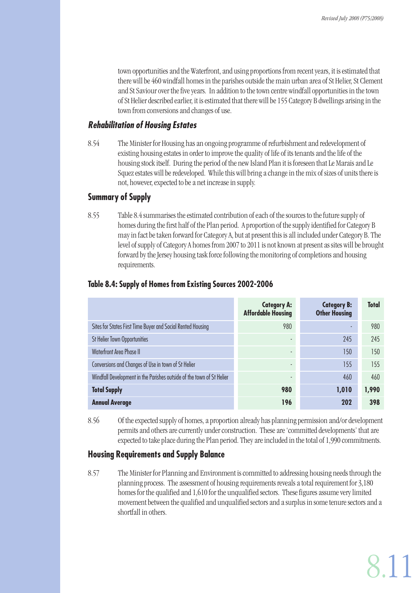town opportunities and the Waterfront, and using proportions from recent years, it is estimated that there will be 460 windfall homes in the parishes outside the main urban area of St Helier, St Clement and St Saviour over the five years. In addition to the town centre windfall opportunities in the town of St Helier described earlier, it is estimated that there will be 155 Category B dwellings arising in the town from conversions and changes of use.

#### **Rehabilitation of Housing Estates**

8.54 The Minister for Housing has an ongoing programme of refurbishment and redevelopment of existing housing estates in order to improve the quality of life of its tenants and the life of the housing stock itself. During the period of the new Island Plan it is foreseen that Le Marais and Le Squez estates will be redeveloped. While this will bring a change in the mix of sizes of units there is not, however, expected to be a net increase in supply.

# **Summary of Supply**

8.55 Table 8.4 summarises the estimated contribution of each of the sources to the future supply of homes during the first half of the Plan period. A proportion of the supply identified for Category B may in fact be taken forward for Category A, but at present this is all included under Category B. The level of supply of Category A homes from 2007 to 2011 is not known at present as sites will be brought forward by the Jersey housing task force following the monitoring of completions and housing requirements.

|                                                                       | <b>Category A:</b><br><b>Affordable Housing</b> | <b>Category B:</b><br><b>Other Housing</b> | <b>Total</b> |
|-----------------------------------------------------------------------|-------------------------------------------------|--------------------------------------------|--------------|
| Sites for States First Time Buyer and Social Rented Housing           | 980                                             |                                            | 980          |
| <b>St Helier Town Opportunities</b>                                   | ٠                                               | 245                                        | 245          |
| <b>Waterfront Area Phase II</b>                                       | ٠                                               | 150                                        | 150          |
| Conversions and Changes of Use in town of St Helier                   | $\overline{\phantom{a}}$                        | 155                                        | 155          |
| Windfall Development in the Parishes outside of the town of St Helier | ۰                                               | 460                                        | 460          |
| <b>Total Supply</b>                                                   | 980                                             | 1,010                                      | 1,990        |
| <b>Annual Average</b>                                                 | 196                                             | 202                                        | 398          |

#### **Table 8.4: Supply of Homes from Existing Sources 2002-2006**

8.56 Of the expected supply of homes, a proportion already has planning permission and/or development permits and others are currently under construction. These are 'committed developments' that are expected to take place during the Plan period. They are included in the total of 1,990 commitments.

# **Housing Requirements and Supply Balance**

8.57 The Minister for Planning and Environment is committed to addressing housing needs through the planning process. The assessment of housing requirements reveals a total requirement for 3,180 homes for the qualified and 1,610 for the unqualified sectors. These figures assume very limited movement between the qualified and unqualified sectors and a surplus in some tenure sectors and a shortfall in others.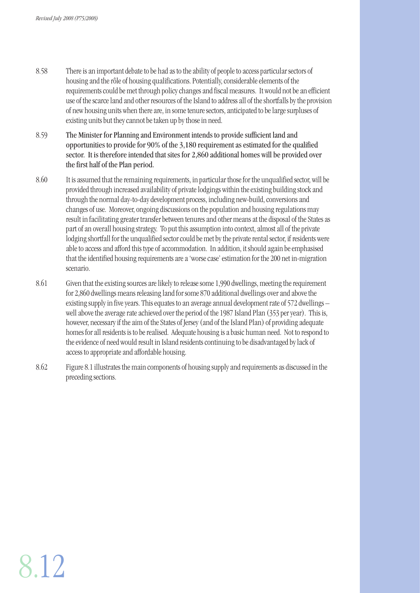- 8.58 There is an important debate to be had as to the ability of people to access particular sectors of housing and the rôle of housing qualifications. Potentially, considerable elements of the requirements could be met through policy changes and fiscal measures. It would not be an efficient use of the scarce land and other resources of the Island to address all of the shortfalls by the provision of new housing units when there are, in some tenure sectors, anticipated to be large surpluses of existing units but they cannot be taken up by those in need.
- 8.59 The Minister for Planning and Environment intends to provide sufficient land and opportunities to provide for 90% of the 3,180 requirement as estimated for the qualified sector. It is therefore intended that sites for 2,860 additional homes will be provided over the first half of the Plan period.
- 8.60 It is assumed that the remaining requirements, in particular those for the unqualified sector, will be provided through increased availability of private lodgings within the existing building stock and through the normal day-to-day development process, including new-build, conversions and changes of use. Moreover, ongoing discussions on the population and housing regulations may result in facilitating greater transfer between tenures and other means at the disposal of the States as part of an overall housing strategy. To put this assumption into context, almost all of the private lodging shortfall for the unqualified sector could be met by the private rental sector, if residents were able to access and afford this type of accommodation. In addition, it should again be emphasised that the identified housing requirements are a 'worse case' estimation for the 200 net in-migration scenario.
- 8.61 Given that the existing sources are likely to release some 1,990 dwellings, meeting the requirement for 2,860 dwellings means releasing land for some 870 additional dwellings over and above the existing supply in five years. This equates to an average annual development rate of 572 dwellings – well above the average rate achieved over the period of the 1987 Island Plan (353 per year). This is, however, necessary if the aim of the States of Jersey (and of the Island Plan) of providing adequate homes for all residents is to be realised. Adequate housing is a basic human need. Not to respond to the evidence of need would result in Island residents continuing to be disadvantaged by lack of access to appropriate and affordable housing.
- 8.62 Figure 8.1 illustrates the main components of housing supply and requirements as discussed in the preceding sections.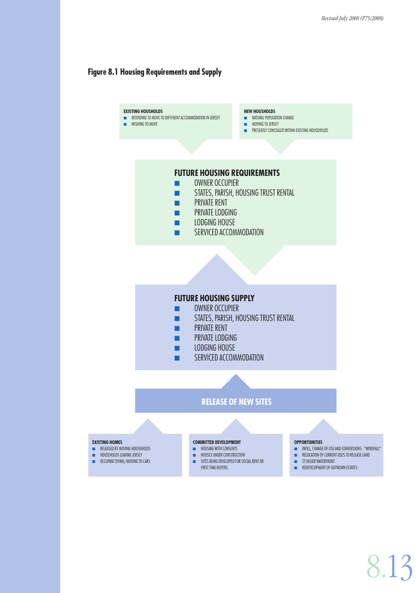#### **Figure 8.1 Housing Requirements and Supply**

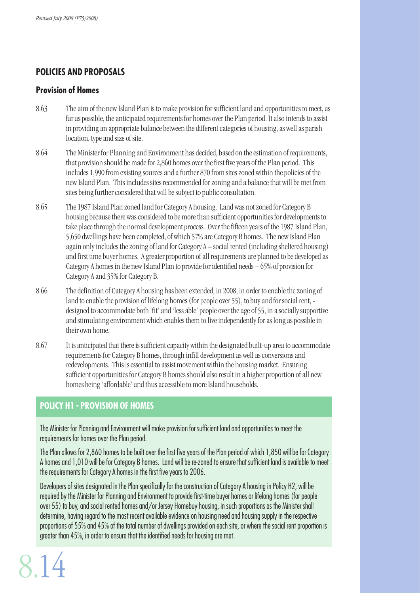# **POLICIES AND PROPOSALS**

#### **Provision of Homes**

- 8.63 The aim of the new Island Plan is to make provision for sufficient land and opportunities to meet, as far as possible, the anticipated requirements for homes over the Plan period. It also intends to assist in providing an appropriate balance between the different categories of housing, as well as parish location, type and size of site.
- 8.64 The Minister for Planning and Environment has decided, based on the estimation of requirements, that provision should be made for 2,860 homes over the first five years of the Plan period. This includes 1,990 from existing sources and a further 870 from sites zoned within the policies of the new Island Plan. This includes sites recommended for zoning and a balance that will be met from sites being further considered that will be subject to public consultation.
- 8.65 The 1987 Island Plan zoned land for Category A housing. Land was not zoned for Category B housing because there was considered to be more than sufficient opportunities for developments to take place through the normal development process. Over the fifteen years of the 1987 Island Plan, 5,650 dwellings have been completed, of which 57% are Category B homes. The new Island Plan again only includes the zoning of land for Category A – social rented (including sheltered housing) and first time buyer homes. A greater proportion of all requirements are planned to be developed as Category A homes in the new Island Plan to provide for identified needs – 65% of provision for Category A and 35% for Category B.
- 8.66 The definition of Category A housing has been extended, in 2008, in order to enable the zoning of land to enable the provision of lifelong homes (for people over 55), to buy and for social rent, designed to accommodate both 'fit' and 'less able' people over the age of 55, in a socially supportive and stimulating environment which enables them to live independently for as long as possible in their own home.
- 8.67 It is anticipated that there is sufficient capacity within the designated built-up area to accommodate requirements for Category B homes, through infill development as well as conversions and redevelopments. This is essential to assist movement within the housing market. Ensuring sufficient opportunities for Category B homes should also result in a higher proportion of all new homes being 'affordable' and thus accessible to more Island households.

# **POLICY H1 - PROVISION OF HOMES**

The Minister for Planning and Environment will make provision for sufficient land and opportunities to meet the requirements for homes over the Plan period.

The Plan allows for 2,860 homes to be built over the first five years of the Plan period of which 1,850 will be for Category A homes and 1,010 will be for Category B homes. Land will be re-zoned to ensure that sufficient land is available to meet the requirements for Category A homes in the first five years to 2006.

Developers of sites designated in the Plan specifically for the construction of Category A housing in Policy H2, will be required by the Minister for Planning and Environment to provide first-time buyer homes or lifelong homes (for people over 55) to buy, and social rented homes and/or Jersey Homebuy housing, in such proportions as the Minister shall determine, having regard to the most recent available evidence on housing need and housing supply in the respective proportions of 55% and 45% of the total number of dwellings provided on each site, or where the social rent proportion is greater than 45%, in order to ensure that the identified needs for housing are met.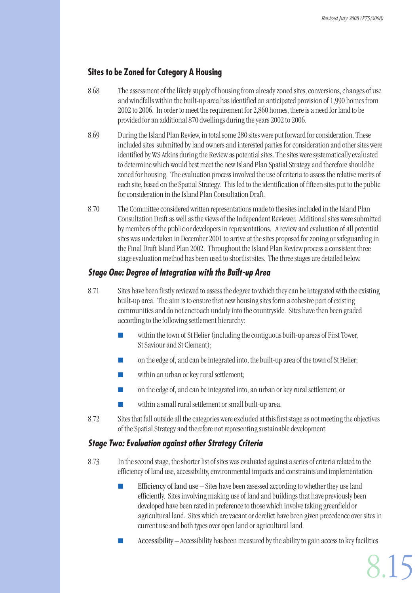# **Sites to be Zoned for Category A Housing**

- 8.68 The assessment of the likely supply of housing from already zoned sites, conversions, changes of use and windfalls within the built-up area has identified an anticipated provision of 1,990 homes from 2002 to 2006. In order to meet the requirement for 2,860 homes, there is a need for land to be provided for an additional 870 dwellings during the years 2002 to 2006.
- 8.69 During the Island Plan Review, in total some 280 sites were put forward for consideration. These included sites submitted by land owners and interested parties for consideration and other sites were identified by WS Atkins during the Review as potential sites. The sites were systematically evaluated to determine which would best meet the new Island Plan Spatial Strategy and therefore should be zoned for housing. The evaluation process involved the use of criteria to assess the relative merits of each site, based on the Spatial Strategy. This led to the identification of fifteen sites put to the public for consideration in the Island Plan Consultation Draft.
- 8.70 The Committee considered written representations made to the sites included in the Island Plan Consultation Draft as well as the views of the Independent Reviewer. Additional sites were submitted by members of the public or developers in representations. A review and evaluation of all potential sites was undertaken in December 2001 to arrive at the sites proposed for zoning or safeguarding in the Final Draft Island Plan 2002. Throughout the Island Plan Review process a consistent three stage evaluation method has been used to shortlist sites. The three stages are detailed below.

# **Stage One: Degree of Integration with the Built-up Area**

- 8.71 Sites have been firstly reviewed to assess the degree to which they can be integrated with the existing built-up area. The aim is to ensure that new housing sites form a cohesive part of existing communities and do not encroach unduly into the countryside. Sites have then been graded according to the following settlement hierarchy:
	- $\blacksquare$  within the town of St Helier (including the contiguous built-up areas of First Tower, St Saviour and St Clement);
	- on the edge of, and can be integrated into, the built-up area of the town of St Helier;
	- $\blacksquare$  within an urban or key rural settlement;
	- on the edge of, and can be integrated into, an urban or key rural settlement; or
	- within a small rural settlement or small built-up area.
- 8.72 Sites that fall outside all the categories were excluded at this first stage as not meeting the objectives of the Spatial Strategy and therefore not representing sustainable development.

# **Stage Two: Evaluation against other Strategy Criteria**

- 8.73 In the second stage, the shorter list of sites was evaluated against a series of criteria related to the efficiency of land use, accessibility, environmental impacts and constraints and implementation.
	- Efficiency of land use  $-$  Sites have been assessed according to whether they use land efficiently. Sites involving making use of land and buildings that have previously been developed have been rated in preference to those which involve taking greenfield or agricultural land. Sites which are vacant or derelict have been given precedence over sites in current use and both types over open land or agricultural land.
	- Accessibility Accessibility has been measured by the ability to gain access to key facilities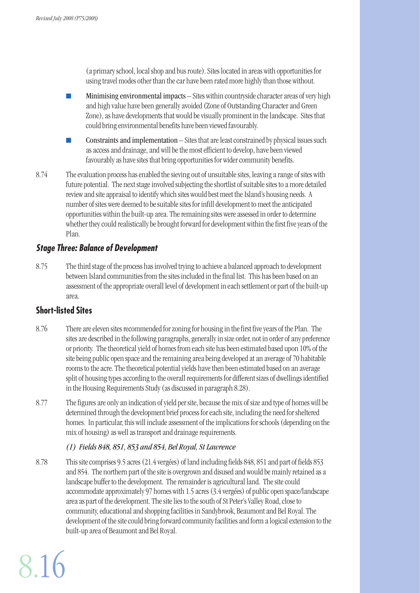(a primary school, local shop and bus route). Sites located in areas with opportunities for using travel modes other than the car have been rated more highly than those without.

- Minimising environmental impacts Sites within countryside character areas of very high and high value have been generally avoided (Zone of Outstanding Character and Green Zone), as have developments that would be visually prominent in the landscape. Sites that could bring environmental benefits have been viewed favourably.
- Constraints and implementation Sites that are least constrained by physical issues such as access and drainage, and will be the most efficient to develop, have been viewed favourably as have sites that bring opportunities for wider community benefits.
- 8.74 The evaluation process has enabled the sieving out of unsuitable sites, leaving a range of sites with future potential. The next stage involved subjecting the shortlist of suitable sites to a more detailed review and site appraisal to identify which sites would best meet the Island's housing needs. A number of sites were deemed to be suitable sites for infill development to meet the anticipated opportunities within the built-up area. The remaining sites were assessed in order to determine whether they could realistically be brought forward for development within the first five years of the Plan.

#### **Stage Three: Balance of Development**

8.75 The third stage of the process has involved trying to achieve a balanced approach to development between Island communities from the sites included in the final list. This has been based on an assessment of the appropriate overall level of development in each settlement or part of the built-up area.

# **Short-listed Sites**

8.16

- 8.76 There are eleven sites recommended for zoning for housing in the first five years of the Plan. The sites are described in the following paragraphs, generally in size order, not in order of any preference or priority. The theoretical yield of homes from each site has been estimated based upon 10% of the site being public open space and the remaining area being developed at an average of 70 habitable rooms to the acre. The theoretical potential yields have then been estimated based on an average split of housing types according to the overall requirements for different sizes of dwellings identified in the Housing Requirements Study (as discussed in paragraph 8.28).
- 8.77 The figures are only an indication of yield per site, because the mix of size and type of homes will be determined through the development brief process for each site, including the need for sheltered homes. In particular, this will include assessment of the implications for schools (depending on the mix of housing) as well as transport and drainage requirements.

#### *(1) Fields 848, 851, 853 and 854, Bel Royal, St Lawrence*

8.78 This site comprises 9.5 acres (21.4 vergées) of land including fields 848, 851 and part of fields 853 and 854. The northern part of the site is overgrown and disused and would be mainly retained as a landscape buffer to the development. The remainder is agricultural land. The site could accommodate approximately 97 homes with 1.5 acres (3.4 vergées) of public open space/landscape area as part of the development. The site lies to the south of St Peter's Valley Road, close to community, educational and shopping facilities in Sandybrook, Beaumont and Bel Royal. The development of the site could bring forward community facilities and form a logical extension to the built-up area of Beaumont and Bel Royal.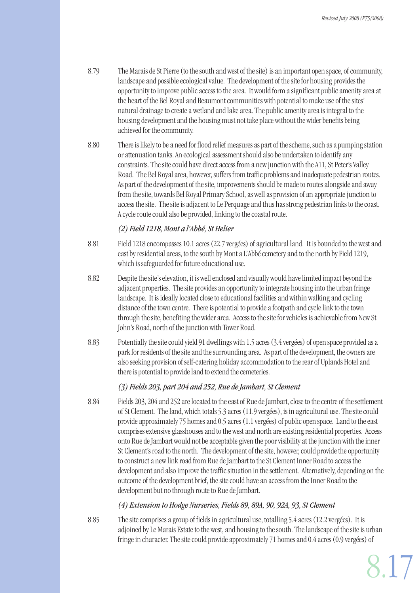- 8.79 The Marais de St Pierre (to the south and west of the site) is an important open space, of community, landscape and possible ecological value. The development of the site for housing provides the opportunity to improve public access to the area. It would form a significant public amenity area at the heart of the Bel Royal and Beaumont communities with potential to make use of the sites' natural drainage to create a wetland and lake area. The public amenity area is integral to the housing development and the housing must not take place without the wider benefits being achieved for the community.
- 8.80 There is likely to be a need for flood relief measures as part of the scheme, such as a pumping station or attenuation tanks. An ecological assessment should also be undertaken to identify any constraints. The site could have direct access from a new junction with the A11, St Peter's Valley Road. The Bel Royal area, however, suffers from traffic problems and inadequate pedestrian routes. As part of the development of the site, improvements should be made to routes alongside and away from the site, towards Bel Royal Primary School, as well as provision of an appropriate junction to access the site. The site is adjacent to Le Perquage and thus has strong pedestrian links to the coast. A cycle route could also be provided, linking to the coastal route.

#### *(2) Field 1218, Mont a l'Abbé, St Helier*

- 8.81 Field 1218 encompasses 10.1 acres (22.7 vergées) of agricultural land. It is bounded to the west and east by residential areas, to the south by Mont a L'Abbé cemetery and to the north by Field 1219, which is safeguarded for future educational use.
- 8.82 Despite the site's elevation, it is well enclosed and visually would have limited impact beyond the adjacent properties. The site provides an opportunity to integrate housing into the urban fringe landscape. It is ideally located close to educational facilities and within walking and cycling distance of the town centre. There is potential to provide a footpath and cycle link to the town through the site, benefiting the wider area. Access to the site for vehicles is achievable from New St John's Road, north of the junction with Tower Road.
- 8.83 Potentially the site could yield 91 dwellings with 1.5 acres (3.4 vergées) of open space provided as a park for residents of the site and the surrounding area. As part of the development, the owners are also seeking provision of self-catering holiday accommodation to the rear of Uplands Hotel and there is potential to provide land to extend the cemeteries.

# *(3) Fields 203, part 204 and 252, Rue de Jambart, St Clement*

8.84 Fields 203, 204 and 252 are located to the east of Rue de Jambart, close to the centre of the settlement of St Clement. The land, which totals 5.3 acres (11.9 vergées), is in agricultural use. The site could provide approximately 75 homes and 0.5 acres (1.1 vergées) of public open space. Land to the east comprises extensive glasshouses and to the west and north are existing residential properties. Access onto Rue de Jambart would not be acceptable given the poor visibility at the junction with the inner St Clement's road to the north. The development of the site, however, could provide the opportunity to construct a new link road from Rue de Jambart to the St Clement Inner Road to access the development and also improve the traffic situation in the settlement. Alternatively, depending on the outcome of the development brief, the site could have an access from the Inner Road to the development but no through route to Rue de Jambart.

#### *(4) Extension to Hodge Nurseries, Fields 89, 89A, 90, 92A, 93, St Clement*

8.85 The site comprises a group of fields in agricultural use, totalling 5.4 acres (12.2 vergées). It is adjoined by Le Marais Estate to the west, and housing to the south. The landscape of the site is urban fringe in character. The site could provide approximately 71 homes and 0.4 acres (0.9 vergées) of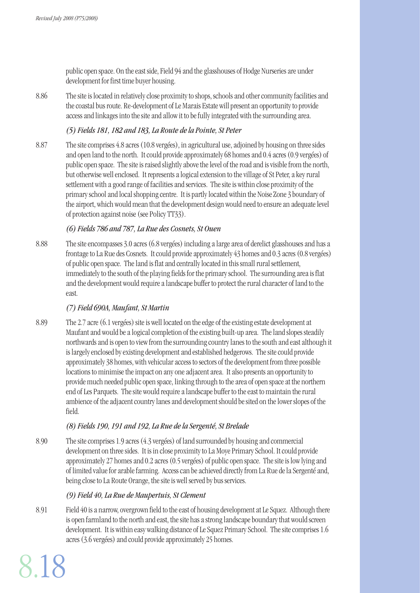public open space. On the east side, Field 94 and the glasshouses of Hodge Nurseries are under development for first time buyer housing.

8.86 The site is located in relatively close proximity to shops, schools and other community facilities and the coastal bus route. Re-development of Le Marais Estate will present an opportunity to provide access and linkages into the site and allow it to be fully integrated with the surrounding area.

#### *(5) Fields 181, 182 and 183, La Route de la Pointe, St Peter*

8.87 The site comprises 4.8 acres (10.8 vergées), in agricultural use, adjoined by housing on three sides and open land to the north. It could provide approximately 68 homes and 0.4 acres (0.9 vergées) of public open space. The site is raised slightly above the level of the road and is visible from the north, but otherwise well enclosed. It represents a logical extension to the village of St Peter, a key rural settlement with a good range of facilities and services. The site is within close proximity of the primary school and local shopping centre. It is partly located within the Noise Zone 3 boundary of the airport, which would mean that the development design would need to ensure an adequate level of protection against noise (see Policy TT33).

#### *(6) Fields 786 and 787, La Rue des Cosnets, St Ouen*

8.88 The site encompasses 3.0 acres (6.8 vergées) including a large area of derelict glasshouses and has a frontage to La Rue des Cosnets. It could provide approximately 43 homes and 0.3 acres (0.8 vergées) of public open space. The land is flat and centrally located in this small rural settlement, immediately to the south of the playing fields for the primary school. The surrounding area is flat and the development would require a landscape buffer to protect the rural character of land to the east.

# *(7) Field 690A, Maufant, St Martin*

8.89 The 2.7 acre (6.1 vergées) site is well located on the edge of the existing estate development at Maufant and would be a logical completion of the existing built-up area. The land slopes steadily northwards and is open to view from the surrounding country lanes to the south and east although it is largely enclosed by existing development and established hedgerows. The site could provide approximately 38 homes, with vehicular access to sectors of the development from three possible locations to minimise the impact on any one adjacent area. It also presents an opportunity to provide much needed public open space, linking through to the area of open space at the northern end of Les Parquets. The site would require a landscape buffer to the east to maintain the rural ambience of the adjacent country lanes and development should be sited on the lower slopes of the field.

#### *(8) Fields 190, 191 and 192, La Rue de la Sergenté, St Brelade*

8.90 The site comprises 1.9 acres (4.3 vergées) of land surrounded by housing and commercial development on three sides. It is in close proximity to La Moye Primary School. It could provide approximately 27 homes and 0.2 acres (0.5 vergées) of public open space. The site is low lying and of limited value for arable farming. Access can be achieved directly from La Rue de la Sergenté and, being close to La Route Orange, the site is well served by bus services.

#### *(9) Field 40, La Rue de Maupertuis, St Clement*

8.18

8.91 Field 40 is a narrow, overgrown field to the east of housing development at Le Squez. Although there is open farmland to the north and east, the site has a strong landscape boundary that would screen development. It is within easy walking distance of Le Squez Primary School. The site comprises 1.6 acres (3.6 vergées) and could provide approximately 25 homes.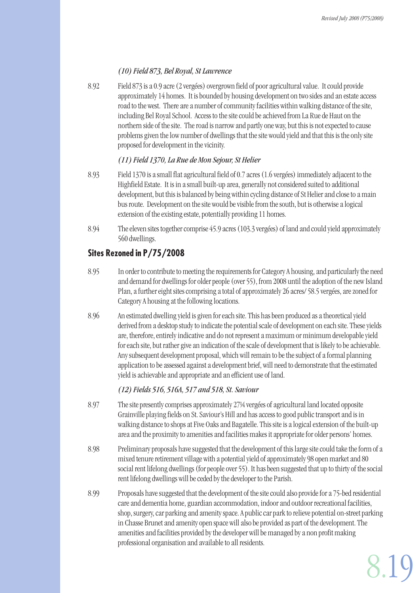#### *(10) Field 873, Bel Royal, St Lawrence*

8.92 Field 873 is a 0.9 acre (2 vergées) overgrown field of poor agricultural value. It could provide approximately 14 homes. It is bounded by housing development on two sides and an estate access road to the west. There are a number of community facilities within walking distance of the site, including Bel Royal School. Access to the site could be achieved from La Rue de Haut on the northern side of the site. The road is narrow and partly one way, but this is not expected to cause problems given the low number of dwellings that the site would yield and that this is the only site proposed for development in the vicinity.

#### *(11) Field 1370, La Rue de Mon Sejour, St Helier*

- 8.93 Field 1370 is a small flat agricultural field of 0.7 acres (1.6 vergées) immediately adjacent to the Highfield Estate. It is in a small built-up area, generally not considered suited to additional development, but this is balanced by being within cycling distance of St Helier and close to a main bus route. Development on the site would be visible from the south, but is otherwise a logical extension of the existing estate, potentially providing 11 homes.
- 8.94 The eleven sites together comprise 45.9 acres (103.3 vergées) of land and could yield approximately 560 dwellings.

# **Sites Rezoned in P/75/2008**

- 8.95 In order to contribute to meeting the requirements for Category A housing, and particularly the need and demand for dwellings for older people (over 55), from 2008 until the adoption of the new Island Plan, a further eight sites comprising a total of approximately 26 acres/ 58.5 vergées, are zoned for Category A housing at the following locations.
- 8.96 An estimated dwelling yield is given for each site. This has been produced as a theoretical yield derived from a desktop study to indicate the potential scale of development on each site. These yields are, therefore, entirely indicative and do not represent a maximum or minimum developable yield for each site, but rather give an indication of the scale of development that is likely to be achievable. Any subsequent development proposal, which will remain to be the subject of a formal planning application to be assessed against a development brief, will need to demonstrate that the estimated yield is achievable and appropriate and an efficient use of land.

#### *(12) Fields 516, 516A, 517 and 518, St. Saviour*

- 8.97 The site presently comprises approximately 27¼ vergées of agricultural land located opposite Grainville playing fields on St. Saviour's Hill and has access to good public transport and is in walking distance to shops at Five Oaks and Bagatelle. This site is a logical extension of the built-up area and the proximity to amenities and facilities makes it appropriate for older persons' homes.
- 8.98 Preliminary proposals have suggested that the development of this large site could take the form of a mixed tenure retirement village with a potential yield of approximately 98 open market and 80 social rent lifelong dwellings (for people over 55). It has been suggested that up to thirty of the social rent lifelong dwellings will be ceded by the developer to the Parish.
- 8.99 Proposals have suggested that the development of the site could also provide for a 75-bed residential care and dementia home, guardian accommodation, indoor and outdoor recreational facilities, shop, surgery, car parking and amenity space. A public car park to relieve potential on-street parking in Chasse Brunet and amenity open space will also be provided as part of the development. The amenities and facilities provided by the developer will be managed by a non profit making professional organisation and available to all residents.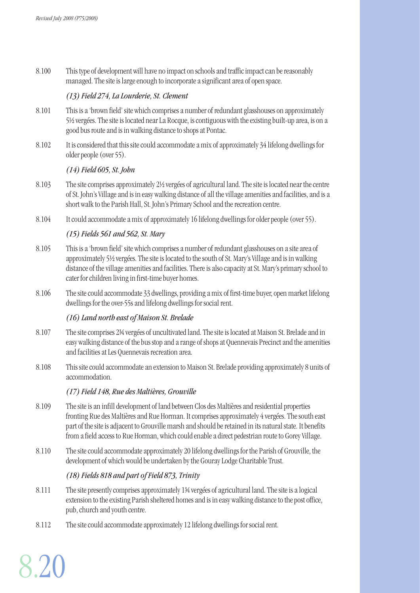8.100 This type of development will have no impact on schools and traffic impact can be reasonably managed. The site is large enough to incorporate a significant area of open space.

#### *(13) Field 274, La Lourderie, St. Clement*

- 8.101 This is a 'brown field' site which comprises a number of redundant glasshouses on approximately 5½ vergées. The site is located near La Rocque, is contiguous with the existing built-up area, is on a good bus route and is in walking distance to shops at Pontac.
- 8.102 It is considered that this site could accommodate a mix of approximately 34 lifelong dwellings for older people (over 55).

#### *(14) Field 605, St. John*

- 8.103 The site comprises approximately 2½ vergées of agricultural land. The site is located near the centre of St. John's Village and is in easy walking distance of all the village amenities and facilities, and is a short walk to the Parish Hall, St. John's Primary School and the recreation centre.
- 8.104 It could accommodate a mix of approximately 16 lifelong dwellings for older people (over 55).

#### *(15) Fields 561 and 562, St. Mary*

- 8.105 This is a 'brown field' site which comprises a number of redundant glasshouses on a site area of approximately 5½ vergées. The site is located to the south of St. Mary's Village and is in walking distance of the village amenities and facilities. There is also capacity at St. Mary's primary school to cater for children living in first-time buyer homes.
- 8.106 The site could accommodate 33 dwellings, providing a mix of first-time buyer, open market lifelong dwellings for the over-55s and lifelong dwellings for social rent.

#### *(16) Land north east of Maison St. Brelade*

- 8.107 The site comprises 2¾ vergées of uncultivated land. The site is located at Maison St. Brelade and in easy walking distance of the bus stop and a range of shops at Quennevais Precinct and the amenities and facilities at Les Quennevais recreation area.
- 8.108 This site could accommodate an extension to Maison St. Brelade providing approximately 8 units of accommodation.

#### *(17) Field 148, Rue des Maltières, Grouville*

- 8.109 The site is an infill development of land between Clos des Maltières and residential properties fronting Rue des Maltières and Rue Horman. It comprises approximately 4 vergées. The south east part of the site is adjacent to Grouville marsh and should be retained in its natural state. It benefits from a field access to Rue Horman, which could enable a direct pedestrian route to Gorey Village.
- 8.110 The site could accommodate approximately 20 lifelong dwellings for the Parish of Grouville, the development of which would be undertaken by the Gouray Lodge Charitable Trust.

#### *(18) Fields 818 and part of Field 873, Trinity*

- 8.111 The site presently comprises approximately 1¾ vergées of agricultural land. The site is a logical extension to the existing Parish sheltered homes and is in easy walking distance to the post office, pub, church and youth centre.
- 8.112 The site could accommodate approximately 12 lifelong dwellings for social rent.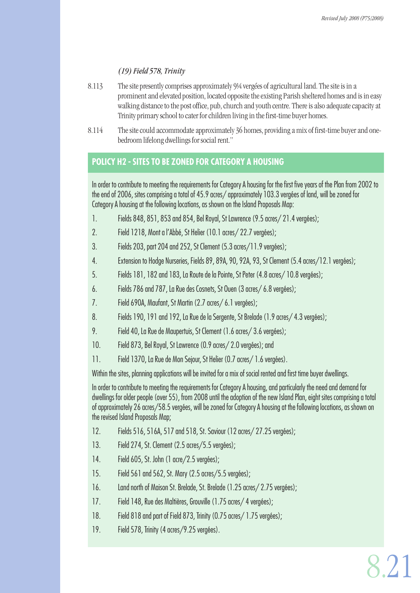8.2

#### *(19) Field 578, Trinity*

- 8.113 The site presently comprises approximately 9¼ vergées of agricultural land. The site is in a prominent and elevated position, located opposite the existing Parish sheltered homes and is in easy walking distance to the post office, pub, church and youth centre. There is also adequate capacity at Trinity primary school to cater for children living in the first-time buyer homes.
- 8.114 The site could accommodate approximately 36 homes, providing a mix of first-time buyer and onebedroom lifelong dwellings for social rent."

# **POLICY H2 - SITES TO BE ZONED FOR CATEGORY A HOUSING**

In order to contribute to meeting the requirements for Category A housing for the first five years of the Plan from 2002 to the end of 2006, sites comprising a total of 45.9 acres/ approximately 103.3 vergées of land, will be zoned for Category A housing at the following locations, as shown on the Island Proposals Map:

- 1. Fields 848, 851, 853 and 854, Bel Royal, St Lawrence (9.5 acres/ 21.4 vergées);
- 2. Field 1218, Mont a l'Abbé, St Helier (10.1 acres/ 22.7 vergées);
- 3. Fields 203, part 204 and 252, St Clement (5.3 acres/11.9 vergées);
- 4. Extension to Hodge Nurseries, Fields 89, 89A, 90, 92A, 93, St Clement (5.4 acres/12.1 vergées);
- 5. Fields 181, 182 and 183, La Route de la Pointe, St Peter (4.8 acres/ 10.8 vergées);
- 6. Fields 786 and 787, La Rue des Cosnets, St Ouen (3 acres/ 6.8 vergées);
- 7. Field 690A, Maufant, St Martin (2.7 acres/ 6.1 vergées);
- 8. Fields 190, 191 and 192, La Rue de la Sergente, St Brelade (1.9 acres/ 4.3 vergées);
- 9. Field 40, La Rue de Maupertuis, St Clement (1.6 acres/ 3.6 vergées);
- 10. Field 873, Bel Royal, St Lawrence (0.9 acres/ 2.0 vergées); and
- 11. Field 1370, La Rue de Mon Sejour, St Helier (0.7 acres/ 1.6 vergées).

Within the sites, planning applications will be invited for a mix of social rented and first time buyer dwellings.

In order to contribute to meeting the requirements for Category A housing, and particularly the need and demand for dwellings for older people (over 55), from 2008 until the adoption of the new Island Plan, eight sites comprising a total of approximately 26 acres/58.5 vergées, will be zoned for Category A housing at the following locations, as shown on the revised Island Proposals Map;

- 12. Fields 516, 516A, 517 and 518, St. Saviour (12 acres/ 27.25 vergées);
- 13. Field 274, St. Clement (2.5 acres/5.5 vergées);
- 14. Field 605, St. John (1 acre/2.5 vergées);
- 15. Field 561 and 562, St. Mary (2.5 acres/5.5 vergées);
- 16. Land north of Maison St. Brelade, St. Brelade (1.25 acres/ 2.75 vergées);
- 17. Field 148, Rue des Maltières, Grouville (1.75 acres/ 4 vergées);
- 18. Field 818 and part of Field 873, Trinity (0.75 acres/ 1.75 vergées);
- 19. Field 578, Trinity (4 acres/9.25 vergées).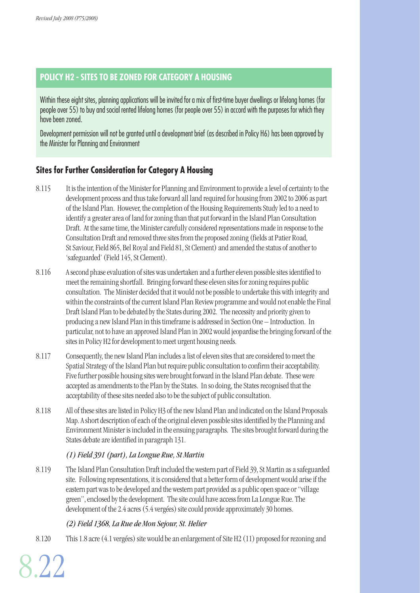# **POLICY H2 - SITES TO BE ZONED FOR CATEGORY A HOUSING**

Within these eight sites, planning applications will be invited for a mix of first-time buyer dwellings or lifelong homes (for people over 55) to buy and social rented lifelong homes (for people over 55) in accord with the purposes for which they have been zoned.

Development permission will not be granted until a development brief (as described in Policy H6) has been approved by the Minister for Planning and Environment

# **Sites for Further Consideration for Category A Housing**

- 8.115 It is the intention of the Minister for Planning and Environment to provide a level of certainty to the development process and thus take forward all land required for housing from 2002 to 2006 as part of the Island Plan. However, the completion of the Housing Requirements Study led to a need to identify a greater area of land for zoning than that put forward in the Island Plan Consultation Draft. At the same time, the Minister carefully considered representations made in response to the Consultation Draft and removed three sites from the proposed zoning (fields at Patier Road, St Saviour, Field 865, Bel Royal and Field 81, St Clement) and amended the status of another to 'safeguarded' (Field 145, St Clement).
- 8.116 A second phase evaluation of sites was undertaken and a further eleven possible sites identified to meet the remaining shortfall. Bringing forward these eleven sites for zoning requires public consultation. The Minister decided that it would not be possible to undertake this with integrity and within the constraints of the current Island Plan Review programme and would not enable the Final Draft Island Plan to be debated by the States during 2002. The necessity and priority given to producing a new Island Plan in this timeframe is addressed in Section One – Introduction. In particular, not to have an approved Island Plan in 2002 would jeopardise the bringing forward of the sites in Policy H2 for development to meet urgent housing needs.
- 8.117 Consequently, the new Island Plan includes a list of eleven sites that are considered to meet the Spatial Strategy of the Island Plan but require public consultation to confirm their acceptability. Five further possible housing sites were brought forward in the Island Plan debate. These were accepted as amendments to the Plan by the States. In so doing, the States recognised that the acceptability of these sites needed also to be the subject of public consultation.
- 8.118 All of these sites are listed in Policy H<sub>3</sub> of the new Island Plan and indicated on the Island Proposals Map. A short description of each of the original eleven possible sites identified by the Planning and Environment Minister is included in the ensuing paragraphs. The sites brought forward during the States debate are identified in paragraph 131.

#### *(1) Field 391 (part), La Longue Rue, St Martin*

8.119 The Island Plan Consultation Draft included the western part of Field 39, St Martin as a safeguarded site. Following representations, it is considered that a better form of development would arise if the eastern part was to be developed and the western part provided as a public open space or "village green", enclosed by the development. The site could have access from La Longue Rue. The development of the 2.4 acres (5.4 vergées) site could provide approximately 30 homes.

#### *(2) Field 1368, La Rue de Mon Sejour, St. Helier*

8.120 This 1.8 acre (4.1 vergées) site would be an enlargement of Site H2 (11) proposed for rezoning and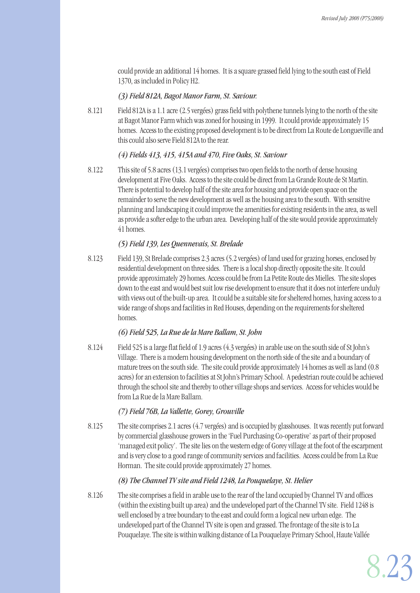could provide an additional 14 homes. It is a square grassed field lying to the south east of Field 1370, as included in Policy H2.

#### *(3) Field 812A, Bagot Manor Farm, St. Saviour.*

8.121 Field 812A is a 1.1 acre (2.5 vergées) grass field with polythene tunnels lying to the north of the site at Bagot Manor Farm which was zoned for housing in 1999. It could provide approximately 15 homes. Access to the existing proposed development is to be direct from La Route de Longueville and this could also serve Field 812A to the rear.

#### *(4) Fields 413, 415, 415A and 470, Five Oaks, St. Saviour*

8.122 This site of 5.8 acres (13.1 vergées) comprises two open fields to the north of dense housing development at Five Oaks. Access to the site could be direct from La Grande Route de St Martin. There is potential to develop half of the site area for housing and provide open space on the remainder to serve the new development as well as the housing area to the south. With sensitive planning and landscaping it could improve the amenities for existing residents in the area, as well as provide a softer edge to the urban area. Developing half of the site would provide approximately 41 homes.

#### *(5) Field 139, Les Quennevais, St. Brelade*

8.123 Field 139, St Brelade comprises 2.3 acres (5.2 vergées) of land used for grazing horses, enclosed by residential development on three sides. There is a local shop directly opposite the site. It could provide approximately 29 homes. Access could be from La Petite Route des Mielles. The site slopes down to the east and would best suit low rise development to ensure that it does not interfere unduly with views out of the built-up area. It could be a suitable site for sheltered homes, having access to a wide range of shops and facilities in Red Houses, depending on the requirements for sheltered homes.

#### *(6) Field 525, La Rue de la Mare Ballam, St. John*

8.124 Field 525 is a large flat field of 1.9 acres (4.3 vergées) in arable use on the south side of St John's Village. There is a modern housing development on the north side of the site and a boundary of mature trees on the south side. The site could provide approximately 14 homes as well as land (0.8 acres) for an extension to facilities at St John's Primary School. A pedestrian route could be achieved through the school site and thereby to other village shops and services. Access for vehicles would be from La Rue de la Mare Ballam.

#### *(7) Field 76B, La Vallette, Gorey, Grouville*

8.125 The site comprises 2.1 acres (4.7 vergées) and is occupied by glasshouses. It was recently put forward by commercial glasshouse growers in the 'Fuel Purchasing Co-operative' as part of their proposed 'managed exit policy'. The site lies on the western edge of Gorey village at the foot of the escarpment and is very close to a good range of community services and facilities. Access could be from La Rue Horman. The site could provide approximately 27 homes.

#### *(8) The Channel TV site and Field 1248, La Pouquelaye, St. Helier*

8.126 The site comprises a field in arable use to the rear of the land occupied by Channel TV and offices (within the existing built up area) and the undeveloped part of the Channel TV site. Field 1248 is well enclosed by a tree boundary to the east and could form a logical new urban edge. The undeveloped part of the Channel TV site is open and grassed. The frontage of the site is to La Pouquelaye. The site is within walking distance of La Pouquelaye Primary School, Haute Vallée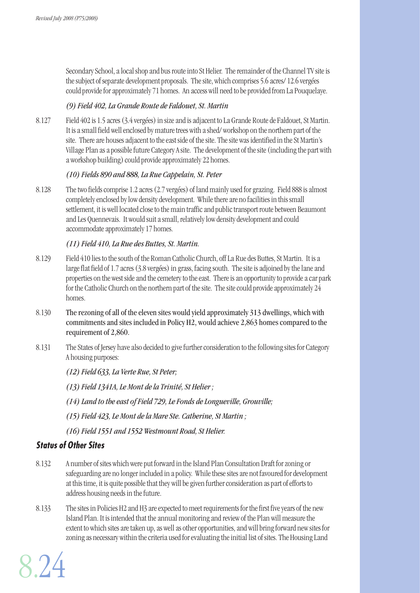Secondary School, a local shop and bus route into St Helier. The remainder of the Channel TV site is the subject of separate development proposals. The site, which comprises 5.6 acres/ 12.6 vergées could provide for approximately 71 homes. An access will need to be provided from La Pouquelaye.

#### *(9) Field 402, La Grande Route de Faldouet, St. Martin*

8.127 Field 402 is 1.5 acres (3.4 vergées) in size and is adjacent to La Grande Route de Faldouet, St Martin. It is a small field well enclosed by mature trees with a shed/ workshop on the northern part of the site. There are houses adjacent to the east side of the site. The site was identified in the St Martin's Village Plan as a possible future Category A site. The development of the site (including the part with a workshop building) could provide approximately 22 homes.

#### *(10) Fields 890 and 888, La Rue Cappelain, St. Peter*

8.128 The two fields comprise 1.2 acres (2.7 vergées) of land mainly used for grazing. Field 888 is almost completely enclosed by low density development. While there are no facilities in this small settlement, it is well located close to the main traffic and public transport route between Beaumont and Les Quennevais. It would suit a small, relatively low density development and could accommodate approximately 17 homes.

#### *(11) Field 410, La Rue des Buttes, St. Martin.*

- 8.129 Field 410 lies to the south of the Roman Catholic Church, off La Rue des Buttes, St Martin. It is a large flat field of 1.7 acres (3.8 vergées) in grass, facing south. The site is adjoined by the lane and properties on the west side and the cemetery to the east. There is an opportunity to provide a car park for the Catholic Church on the northern part of the site. The site could provide approximately 24 homes.
- 8.130 The rezoning of all of the eleven sites would yield approximately 313 dwellings, which with commitments and sites included in Policy H2, would achieve 2,863 homes compared to the requirement of 2,860.
- 8.131 The States of Jersey have also decided to give further consideration to the following sites for Category A housing purposes:

*(12) Field 633, La Verte Rue, St Peter;* 

*(13) Field 1341A, Le Mont de la Trinité, St Helier ;* 

*(14) Land to the east of Field 729, Le Fonds de Longueville, Grouville;* 

*(15) Field 423, Le Mont de la Mare Ste. Catherine, St Martin ;* 

*(16) Field 1551 and 1552 Westmount Road, St Helier.* 

# **Status of Other Sites**

- 8.132 A number of sites which were put forward in the Island Plan Consultation Draft for zoning or safeguarding are no longer included in a policy. While these sites are not favoured for development at this time, it is quite possible that they will be given further consideration as part of efforts to address housing needs in the future.
- 8.133 The sites in Policies H2 and H3 are expected to meet requirements for the first five years of the new Island Plan. It is intended that the annual monitoring and review of the Plan will measure the extent to which sites are taken up, as well as other opportunities, and will bring forward new sites for zoning as necessary within the criteria used for evaluating the initial list of sites. The Housing Land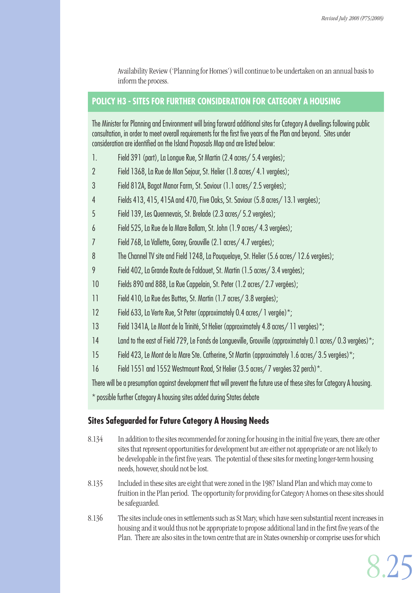Availability Review ('Planning for Homes') will continue to be undertaken on an annual basis to inform the process.

# **POLICY H3 - SITES FOR FURTHER CONSIDERATION FOR CATEGORY A HOUSING**

The Minister for Planning and Environment will bring forward additional sites for Category A dwellings following public consultation, in order to meet overall requirements for the first five years of the Plan and beyond. Sites under consideration are identified on the Island Proposals Map and are listed below:

- 1. Field 391 (part), La Longue Rue, St Martin (2.4 acres/ 5.4 vergées);
- 2 Field 1368, La Rue de Mon Sejour, St. Helier (1.8 acres/ 4.1 vergées);
- 3 Field 812A, Bagot Manor Farm, St. Saviour (1.1 acres/ 2.5 vergées);
- 4 Fields 413, 415, 415A and 470, Five Oaks, St. Saviour (5.8 acres/ 13.1 vergées);
- 5 Field 139, Les Quennevais, St. Brelade (2.3 acres/ 5.2 vergées);
- 6 Field 525, La Rue de la Mare Ballam, St. John (1.9 acres/ 4.3 vergées);
- 7 Field 76B, La Vallette, Gorey, Grouville (2.1 acres/ 4.7 vergées);
- 8 The Channel TV site and Field 1248, La Pouquelaye, St. Helier (5.6 acres/ 12.6 vergées);
- 9 Field 402, La Grande Route de Faldouet, St. Martin (1.5 acres/ 3.4 vergées);
- 10 Fields 890 and 888, La Rue Cappelain, St. Peter (1.2 acres/ 2.7 vergées);
- 11 Field 410, La Rue des Buttes, St. Martin (1.7 acres/ 3.8 vergées);
- 12 Field 633, La Verte Rue, St Peter (approximately 0.4 acres/ 1 vergée)\*;
- 13 Field 1341A, Le Mont de la Trinité, St Helier (approximately 4.8 acres/11 vergées)\*;
- 14 Land to the east of Field 729, Le Fonds de Longueville, Grouville (approximately 0.1 acres/ 0.3 vergées)\*;
- 15 Field 423, Le Mont de la Mare Ste. Catherine, St Martin (approximately 1.6 acres/ 3.5 vergées)\*;
- 16 Field 1551 and 1552 Westmount Road, St Helier (3.5 acres/ 7 vergées 32 perch)\*.

There will be a presumption against development that will prevent the future use of these sites for Category A housing.

\* possible further Category A housing sites added during States debate

# **Sites Safeguarded for Future Category A Housing Needs**

- 8.134 In addition to the sites recommended for zoning for housing in the initial five years, there are other sites that represent opportunities for development but are either not appropriate or are not likely to be developable in the first five years. The potential of these sites for meeting longer-term housing needs, however, should not be lost.
- 8.135 Included in these sites are eight that were zoned in the 1987 Island Plan and which may come to fruition in the Plan period. The opportunity for providing for Category A homes on these sites should be safeguarded.
- 8.136 The sites include ones in settlements such as St Mary, which have seen substantial recent increases in housing and it would thus not be appropriate to propose additional land in the first five years of the Plan. There are also sites in the town centre that are in States ownership or comprise uses for which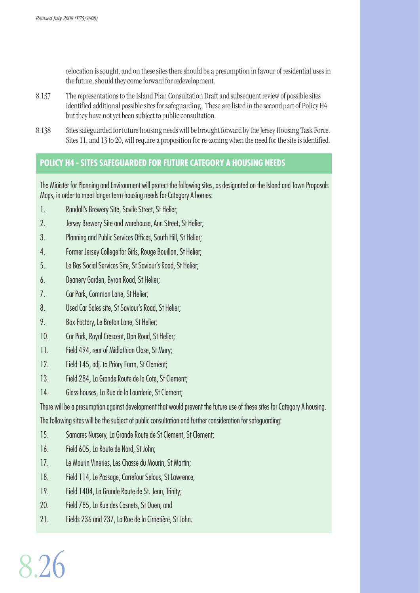relocation is sought, and on these sites there should be a presumption in favour of residential uses in the future, should they come forward for redevelopment.

- 8.137 The representations to the Island Plan Consultation Draft and subsequent review of possible sites identified additional possible sites for safeguarding. These are listed in the second part of Policy H4 but they have not yet been subject to public consultation.
- 8.138 Sites safeguarded for future housing needs will be brought forward by the Jersey Housing Task Force. Sites 11, and 13 to 20, will require a proposition for re-zoning when the need for the site is identified.

# **POLICY H4 - SITES SAFEGUARDED FOR FUTURE CATEGORY A HOUSING NEEDS**

The Minister for Planning and Environment will protect the following sites, as designated on the Island and Town Proposals Maps, in order to meet longer term housing needs for Category A homes:

- 1. Randall's Brewery Site, Savile Street, St Helier;
- 2. Jersey Brewery Site and warehouse, Ann Street, St Helier;
- 3. Planning and Public Services Offices, South Hill, St Helier;
- 4. Former Jersey College for Girls, Rouge Bouillon, St Helier;
- 5. Le Bas Social Services Site, St Saviour's Road, St Helier;
- 6. Deanery Garden, Byron Road, St Helier;
- 7. Car Park, Common Lane, St Helier;
- 8. Used Car Sales site, St Saviour's Road, St Helier;
- 9. Box Factory, Le Breton Lane, St Helier;
- 10. Car Park, Royal Crescent, Don Road, St Helier;
- 11. Field 494, rear of Midlothian Close, St Mary;
- 12. Field 145, adj. to Priory Farm, St Clement;
- 13. Field 284, La Grande Route de la Cote, St Clement;
- 14. Glass houses, La Rue de la Lourderie, St Clement;

There will be a presumption against development that would prevent the future use of these sites for Category A housing. The following sites will be the subject of public consultation and further consideration for safeguarding:

- 15. Samares Nursery, La Grande Route de St Clement, St Clement;
- 16. Field 605, La Route de Nord, St John;
- 17. Le Mourin Vineries, Les Chasse du Mourin, St Martin;
- 18. Field 114, Le Passage, Carrefour Selous, St Lawrence;
- 19. Field 1404, La Grande Route de St. Jean, Trinity;
- 20. Field 785, La Rue des Cosnets, St Ouen; and
- 21. Fields 236 and 237, La Rue de la Cimetière, St John.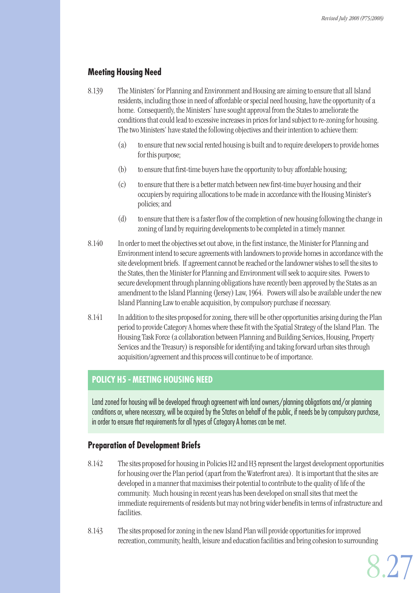# **Meeting Housing Need**

- 8.139 The Ministers' for Planning and Environment and Housing are aiming to ensure that all Island residents, including those in need of affordable or special need housing, have the opportunity of a home. Consequently, the Ministers' have sought approval from the States to ameliorate the conditions that could lead to excessive increases in prices for land subject to re-zoning for housing. The two Ministers' have stated the following objectives and their intention to achieve them:
	- (a) to ensure that new social rented housing is built and to require developers to provide homes for this purpose;
	- (b) to ensure that first-time buyers have the opportunity to buy affordable housing;
	- (c) to ensure that there is a better match between new first-time buyer housing and their occupiers by requiring allocations to be made in accordance with the Housing Minister's policies; and
	- (d) to ensure that there is a faster flow of the completion of new housing following the change in zoning of land by requiring developments to be completed in a timely manner.
- 8.140 In order to meet the objectives set out above, in the first instance, the Minister for Planning and Environment intend to secure agreements with landowners to provide homes in accordance with the site development briefs. If agreement cannot be reached or the landowner wishes to sell the sites to the States, then the Minister for Planning and Environment will seek to acquire sites. Powers to secure development through planning obligations have recently been approved by the States as an amendment to the Island Planning (Jersey) Law, 1964. Powers will also be available under the new Island Planning Law to enable acquisition, by compulsory purchase if necessary.
- 8.141 In addition to the sites proposed for zoning, there will be other opportunities arising during the Plan period to provide Category A homes where these fit with the Spatial Strategy of the Island Plan. The Housing Task Force (a collaboration between Planning and Building Services, Housing, Property Services and the Treasury) is responsible for identifying and taking forward urban sites through acquisition/agreement and this process will continue to be of importance.

# **POLICY H5 - MEETING HOUSING NEED**

Land zoned for housing will be developed through agreement with land owners/planning obligations and/or planning conditions or, where necessary, will be acquired by the States on behalf of the public, if needs be by compulsory purchase, in order to ensure that requirements for all types of Category A homes can be met.

# **Preparation of Development Briefs**

- 8.142 The sites proposed for housing in Policies H2 and H3 represent the largest development opportunities for housing over the Plan period (apart from the Waterfront area). It is important that the sites are developed in a manner that maximises their potential to contribute to the quality of life of the community. Much housing in recent years has been developed on small sites that meet the immediate requirements of residents but may not bring wider benefits in terms of infrastructure and facilities.
- 8.143 The sites proposed for zoning in the new Island Plan will provide opportunities for improved recreation, community, health, leisure and education facilities and bring cohesion to surrounding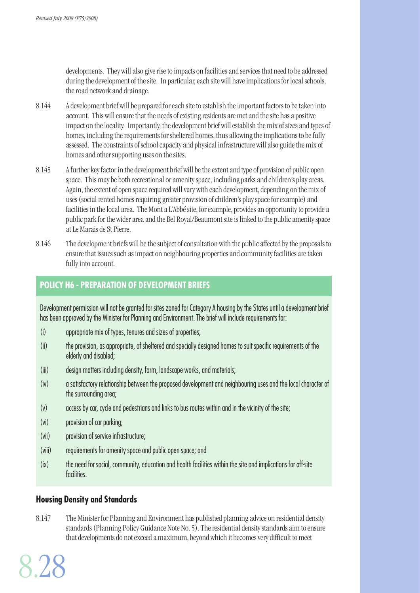developments. They will also give rise to impacts on facilities and services that need to be addressed during the development of the site. In particular, each site will have implications for local schools, the road network and drainage.

- 8.144 A development brief will be prepared for each site to establish the important factors to be taken into account. This will ensure that the needs of existing residents are met and the site has a positive impact on the locality. Importantly, the development brief will establish the mix of sizes and types of homes, including the requirements for sheltered homes, thus allowing the implications to be fully assessed. The constraints of school capacity and physical infrastructure will also guide the mix of homes and other supporting uses on the sites.
- 8.145 A further key factor in the development brief will be the extent and type of provision of public open space. This may be both recreational or amenity space, including parks and children's play areas. Again, the extent of open space required will vary with each development, depending on the mix of uses (social rented homes requiring greater provision of children's play space for example) and facilities in the local area. The Mont a L'Abbé site, for example, provides an opportunity to provide a public park for the wider area and the Bel Royal/Beaumont site is linked to the public amenity space at Le Marais de St Pierre.
- 8.146 The development briefs will be the subject of consultation with the public affected by the proposals to ensure that issues such as impact on neighbouring properties and community facilities are taken fully into account.

# **POLICY H6 - PREPARATION OF DEVELOPMENT BRIEFS**

Development permission will not be granted for sites zoned for Category A housing by the States until a development brief has been approved by the Minister for Planning and Environment. The brief will include requirements for:

- (i) appropriate mix of types, tenures and sizes of properties;
- (ii) the provision, as appropriate, of sheltered and specially designed homes to suit specific requirements of the elderly and disabled;
- (iii) design matters including density, form, landscape works, and materials;
- (iv) a satisfactory relationship between the proposed development and neighbouring uses and the local character of the surrounding area;
- (v) access by car, cycle and pedestrians and links to bus routes within and in the vicinity of the site;
- (vi) provision of car parking;
- (vii) provision of service infrastructure;
- (viii) requirements for amenity space and public open space; and
- (ix) the need for social, community, education and health facilities within the site and implications for off-site facilities.

#### **Housing Density and Standards**

8.147 The Minister for Planning and Environment has published planning advice on residential density standards (Planning Policy Guidance Note No. 5). The residential density standards aim to ensure that developments do not exceed a maximum, beyond which it becomes very difficult to meet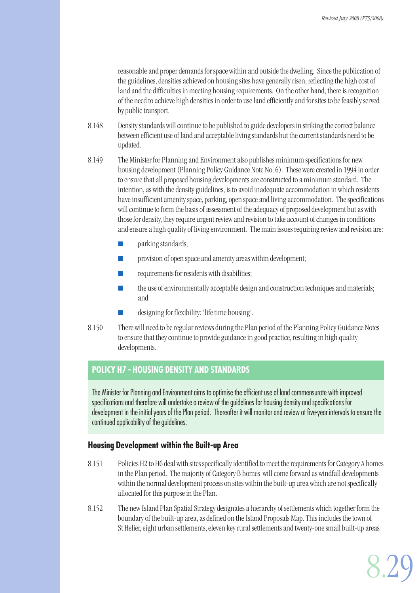reasonable and proper demands for space within and outside the dwelling. Since the publication of the guidelines, densities achieved on housing sites have generally risen, reflecting the high cost of land and the difficulties in meeting housing requirements. On the other hand, there is recognition of the need to achieve high densities in order to use land efficiently and for sites to be feasibly served by public transport.

- 8.148 Density standards will continue to be published to guide developers in striking the correct balance between efficient use of land and acceptable living standards but the current standards need to be updated.
- 8.149 The Minister for Planning and Environment also publishes minimum specifications for new housing development (Planning Policy Guidance Note No. 6). These were created in 1994 in order to ensure that all proposed housing developments are constructed to a minimum standard. The intention, as with the density guidelines, is to avoid inadequate accommodation in which residents have insufficient amenity space, parking, open space and living accommodation. The specifications will continue to form the basis of assessment of the adequacy of proposed development but as with those for density, they require urgent review and revision to take account of changes in conditions and ensure a high quality of living environment. The main issues requiring review and revision are:
	- **D** parking standards;
	- provision of open space and amenity areas within development;
	- requirements for residents with disabilities;
	- the use of environmentally acceptable design and construction techniques and materials; and
	- designing for flexibility: 'life time housing'.
- 8.150 There will need to be regular reviews during the Plan period of the Planning Policy Guidance Notes to ensure that they continue to provide guidance in good practice, resulting in high quality developments.

# **POLICY H7 - HOUSING DENSITY AND STANDARDS**

The Minister for Planning and Environment aims to optimise the efficient use of land commensurate with improved specifications and therefore will undertake a review of the guidelines for housing density and specifications for development in the initial years of the Plan period. Thereafter it will monitor and review at five-year intervals to ensure the continued applicability of the guidelines.

# **Housing Development within the Built-up Area**

- 8.151 Policies H2 to H6 deal with sites specifically identified to meet the requirements for Category A homes in the Plan period. The majority of Category B homes will come forward as windfall developments within the normal development process on sites within the built-up area which are not specifically allocated for this purpose in the Plan.
- 8.152 The new Island Plan Spatial Strategy designates a hierarchy of settlements which together form the boundary of the built-up area, as defined on the Island Proposals Map. This includes the town of St Helier, eight urban settlements, eleven key rural settlements and twenty-one small built-up areas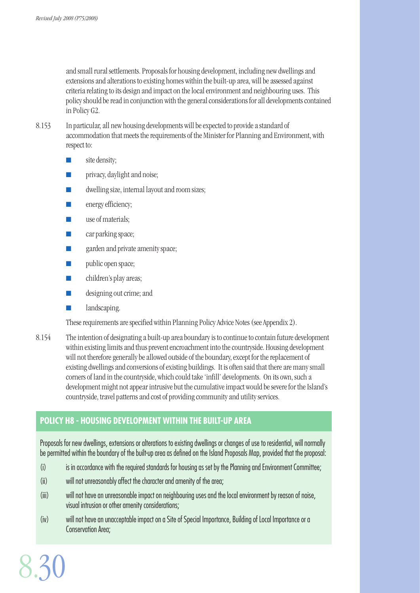and small rural settlements. Proposals for housing development, including new dwellings and extensions and alterations to existing homes within the built-up area, will be assessed against criteria relating to its design and impact on the local environment and neighbouring uses. This policy should be read in conjunction with the general considerations for all developments contained in Policy G2.

8.153 In particular, all new housing developments will be expected to provide a standard of accommodation that meets the requirements of the Minister for Planning and Environment, with respect to:

- site density;
- **T** privacy, daylight and noise;
- dwelling size, internal layout and room sizes;
- **Exercise** energy efficiency;
- use of materials;
- car parking space;
- garden and private amenity space;
- public open space;
- children's play areas;
- designing out crime; and
- landscaping.

These requirements are specified within Planning Policy Advice Notes (see Appendix 2).

8.154 The intention of designating a built-up area boundary is to continue to contain future development within existing limits and thus prevent encroachment into the countryside. Housing development will not therefore generally be allowed outside of the boundary, except for the replacement of existing dwellings and conversions of existing buildings. It is often said that there are many small corners of land in the countryside, which could take 'infill' developments. On its own, such a development might not appear intrusive but the cumulative impact would be severe for the Island's countryside, travel patterns and cost of providing community and utility services.

# **POLICY H8 - HOUSING DEVELOPMENT WITHIN THE BUILT-UP AREA**

Proposals for new dwellings, extensions or alterations to existing dwellings or changes of use to residential, will normally be permitted within the boundary of the built-up area as defined on the Island Proposals Map, provided that the proposal:

- (i) is in accordance with the required standards for housing as set by the Planning and Environment Committee;
- (ii) will not unreasonably affect the character and amenity of the area;
- (iii) will not have an unreasonable impact on neighbouring uses and the local environment by reason of noise, visual intrusion or other amenity considerations;
- (iv) will not have an unacceptable impact on a Site of Special Importance, Building of Local Importance or a Conservation Area;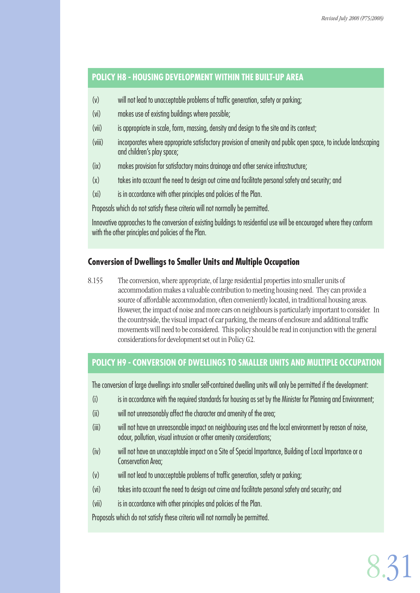# **POLICY H8 - HOUSING DEVELOPMENT WITHIN THE BUILT-UP AREA**

- (v) will not lead to unacceptable problems of traffic generation, safety or parking;
- (vi) makes use of existing buildings where possible;
- (vii) is appropriate in scale, form, massing, density and design to the site and its context;
- (viii) incorporates where appropriate satisfactory provision of amenity and public open space, to include landscaping and children's play space;
- (ix) makes provision for satisfactory mains drainage and other service infrastructure;
- (x) takes into account the need to design out crime and facilitate personal safety and security; and
- (xi) is in accordance with other principles and policies of the Plan.

Proposals which do not satisfy these criteria will not normally be permitted.

Innovative approaches to the conversion of existing buildings to residential use will be encouraged where they conform with the other principles and policies of the Plan.

# **Conversion of Dwellings to Smaller Units and Multiple Occupation**

8.155 The conversion, where appropriate, of large residential properties into smaller units of accommodation makes a valuable contribution to meeting housing need. They can provide a source of affordable accommodation, often conveniently located, in traditional housing areas. However, the impact of noise and more cars on neighbours is particularly important to consider. In the countryside, the visual impact of car parking, the means of enclosure and additional traffic movements will need to be considered. This policy should be read in conjunction with the general considerations for development set out in Policy G2.

# **POLICY H9 - CONVERSION OF DWELLINGS TO SMALLER UNITS AND MULTIPLE OCCUPATION**

The conversion of large dwellings into smaller self-contained dwelling units will only be permitted if the development:

- (i) is in accordance with the required standards for housing as set by the Minister for Planning and Environment;
- (ii) will not unreasonably affect the character and amenity of the area:
- (iii) will not have an unreasonable impact on neighbouring uses and the local environment by reason of noise, odour, pollution, visual intrusion or other amenity considerations;
- (iv) will not have an unacceptable impact on a Site of Special Importance, Building of Local Importance or a Conservation Area;
- (v) will not lead to unacceptable problems of traffic generation, safety or parking;
- (vi) takes into account the need to design out crime and facilitate personal safety and security; and
- (vii) is in accordance with other principles and policies of the Plan.

Proposals which do not satisfy these criteria will not normally be permitted.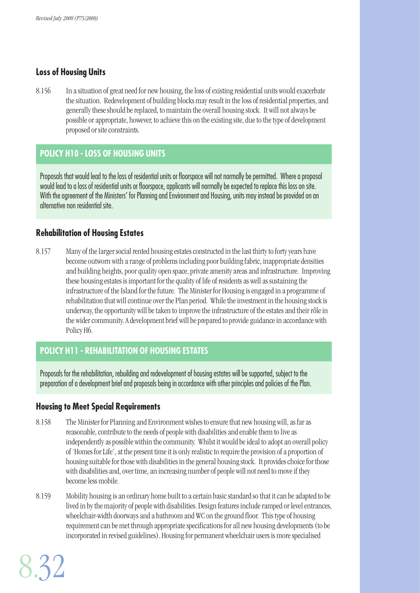# **Loss of Housing Units**

8.156 In a situation of great need for new housing, the loss of existing residential units would exacerbate the situation. Redevelopment of building blocks may result in the loss of residential properties, and generally these should be replaced, to maintain the overall housing stock. It will not always be possible or appropriate, however, to achieve this on the existing site, due to the type of development proposed or site constraints.

# **POLICY H10 - LOSS OF HOUSING UNITS**

Proposals that would lead to the loss of residential units or floorspace will not normally be permitted. Where a proposal would lead to a loss of residential units or floorspace, applicants will normally be expected to replace this loss on site. With the agreement of the Ministers' for Planning and Environment and Housing, units may instead be provided on an alternative non residential site.

#### **Rehabilitation of Housing Estates**

8.157 Many of the larger social rented housing estates constructed in the last thirty to forty years have become outworn with a range of problems including poor building fabric, inappropriate densities and building heights, poor quality open space, private amenity areas and infrastructure. Improving these housing estates is important for the quality of life of residents as well as sustaining the infrastructure of the Island for the future. The Minister for Housing is engaged in a programme of rehabilitation that will continue over the Plan period. While the investment in the housing stock is underway, the opportunity will be taken to improve the infrastructure of the estates and their rôle in the wider community. A development brief will be prepared to provide guidance in accordance with Policy H6.

# **POLICY H11 - REHABILITATION OF HOUSING ESTATES**

Proposals for the rehabilitation, rebuilding and redevelopment of housing estates will be supported, subject to the preparation of a development brief and proposals being in accordance with other principles and policies of the Plan.

#### **Housing to Meet Special Requirements**

- 8.158 The Minister for Planning and Environment wishes to ensure that new housing will, as far as reasonable, contribute to the needs of people with disabilities and enable them to live as independently as possible within the community. Whilst it would be ideal to adopt an overall policy of 'Homes for Life', at the present time it is only realistic to require the provision of a proportion of housing suitable for those with disabilities in the general housing stock. It provides choice for those with disabilities and, over time, an increasing number of people will not need to move if they become less mobile.
- 8.159 Mobility housing is an ordinary home built to a certain basic standard so that it can be adapted to be lived in by the majority of people with disabilities. Design features include ramped or level entrances, wheelchair-width doorways and a bathroom and WC on the ground floor. This type of housing requirement can be met through appropriate specifications for all new housing developments (to be incorporated in revised guidelines). Housing for permanent wheelchair users is more specialised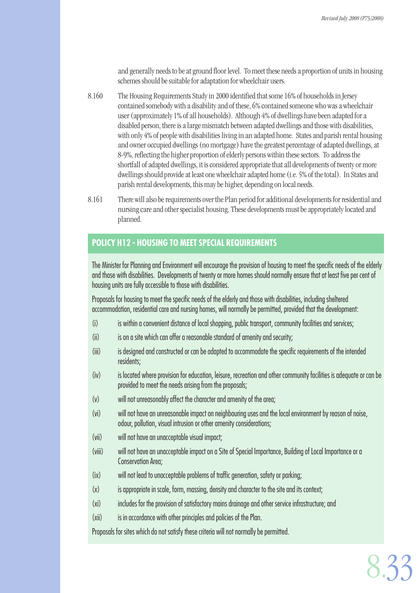and generally needs to be at ground floor level. To meet these needs a proportion of units in housing schemes should be suitable for adaptation for wheelchair users.

- 8.160 The Housing Requirements Study in 2000 identified that some 16% of households in Jersey contained somebody with a disability and of these, 6% contained someone who was a wheelchair user (approximately 1% of all households). Although 4% of dwellings have been adapted for a disabled person, there is a large mismatch between adapted dwellings and those with disabilities, with only 4% of people with disabilities living in an adapted home. States and parish rental housing and owner occupied dwellings (no mortgage) have the greatest percentage of adapted dwellings, at 8-9%, reflecting the higher proportion of elderly persons within these sectors. To address the shortfall of adapted dwellings, it is considered appropriate that all developments of twenty or more dwellings should provide at least one wheelchair adapted home (i.e. 5% of the total). In States and parish rental developments, this may be higher, depending on local needs.
- 8.161 There will also be requirements over the Plan period for additional developments for residential and nursing care and other specialist housing. These developments must be appropriately located and planned.

# **POLICY H12 - HOUSING TO MEET SPECIAL REQUIREMENTS**

The Minister for Planning and Environment will encourage the provision of housing to meet the specific needs of the elderly and those with disabilities. Developments of twenty or more homes should normally ensure that at least five per cent of housing units are fully accessible to those with disabilities.

Proposals for housing to meet the specific needs of the elderly and those with disabilities, including sheltered accommodation, residential care and nursing homes, will normally be permitted, provided that the development:

- (i) is within a convenient distance of local shopping, public transport, community facilities and services;
- (ii) is on a site which can offer a reasonable standard of amenity and security;
- (iii) is designed and constructed or can be adapted to accommodate the specific requirements of the intended residents;
- (iv) is located where provision for education, leisure, recreation and other community facilities is adequate or can be provided to meet the needs arising from the proposals;
- (v) will not unreasonably affect the character and amenity of the area;
- (vi) will not have an unreasonable impact on neighbouring uses and the local environment by reason of noise, odour, pollution, visual intrusion or other amenity considerations;
- (vii) will not have an unacceptable visual impact;
- (viii) will not have an unacceptable impact on a Site of Special Importance, Building of Local Importance or a Conservation Area;
- (ix) will not lead to unacceptable problems of traffic generation, safety or parking;
- (x) is appropriate in scale, form, massing, density and character to the site and its context;
- (xi) includes for the provision of satisfactory mains drainage and other service infrastructure; and
- (xii) is in accordance with other principles and policies of the Plan.

Proposals for sites which do not satisfy these criteria will not normally be permitted.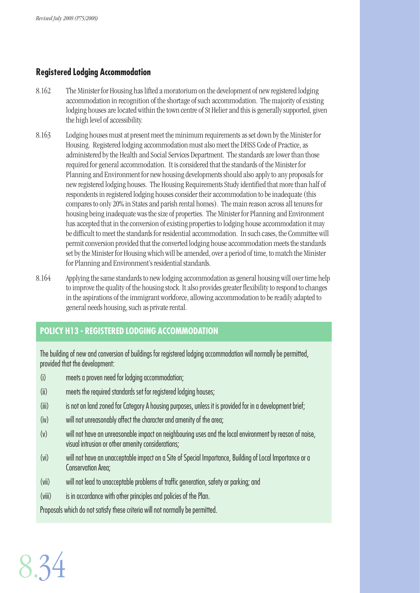# **Registered Lodging Accommodation**

- 8.162 The Minister for Housing has lifted a moratorium on the development of new registered lodging accommodation in recognition of the shortage of such accommodation. The majority of existing lodging houses are located within the town centre of St Helier and this is generally supported, given the high level of accessibility.
- 8.163 Lodging houses must at present meet the minimum requirements as set down by the Minister for Housing. Registered lodging accommodation must also meet the DHSS Code of Practice, as administered by the Health and Social Services Department. The standards are lower than those required for general accommodation. It is considered that the standards of the Minister for Planning and Environment for new housing developments should also apply to any proposals for new registered lodging houses. The Housing Requirements Study identified that more than half of respondents in registered lodging houses consider their accommodation to be inadequate (this compares to only 20% in States and parish rental homes). The main reason across all tenures for housing being inadequate was the size of properties. The Minister for Planning and Environment has accepted that in the conversion of existing properties to lodging house accommodation it may be difficult to meet the standards for residential accommodation. In such cases, the Committee will permit conversion provided that the converted lodging house accommodation meets the standards set by the Minister for Housing which will be amended, over a period of time, to match the Minister for Planning and Environment's residential standards.
- 8.164 Applying the same standards to new lodging accommodation as general housing will over time help to improve the quality of the housing stock. It also provides greater flexibility to respond to changes in the aspirations of the immigrant workforce, allowing accommodation to be readily adapted to general needs housing, such as private rental.

# **POLICY H13 - REGISTERED LODGING ACCOMMODATION**

The building of new and conversion of buildings for registered lodging accommodation will normally be permitted, provided that the development:

- (i) meets a proven need for lodging accommodation;
- (ii) meets the required standards set for registered lodging houses;
- (iii) is not on land zoned for Category A housing purposes, unless it is provided for in a development brief;
- (iv) will not unreasonably affect the character and amenity of the area;
- (v) will not have an unreasonable impact on neighbouring uses and the local environment by reason of noise, visual intrusion or other amenity considerations;
- (vi) will not have an unacceptable impact on a Site of Special Importance, Building of Local Importance or a Conservation Area;
- (vii) will not lead to unacceptable problems of traffic generation, safety or parking; and
- (viii) is in accordance with other principles and policies of the Plan.

Proposals which do not satisfy these criteria will not normally be permitted.